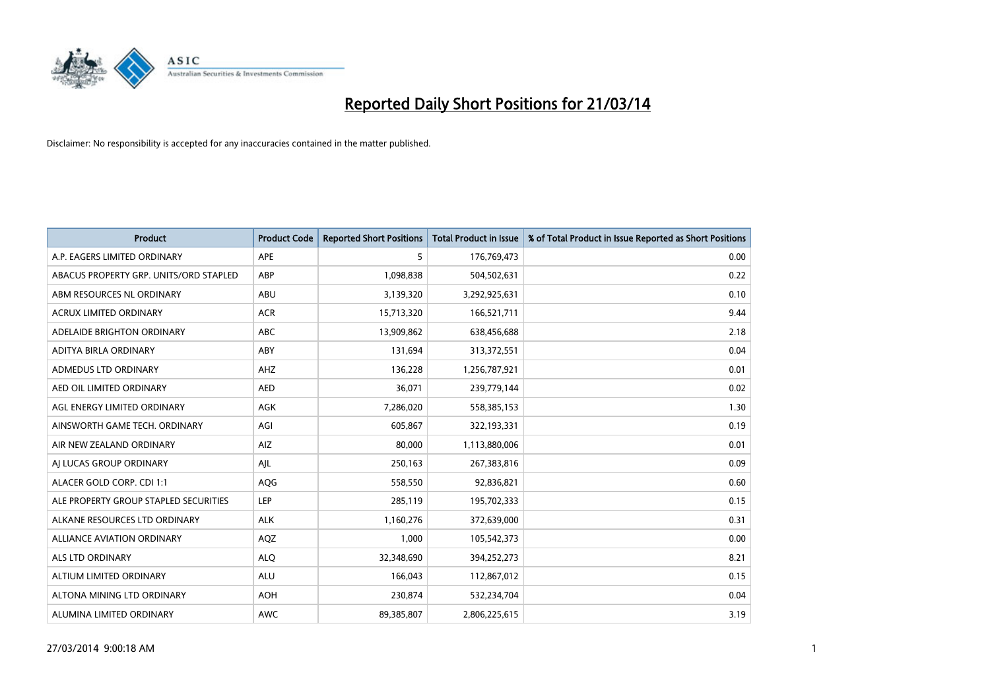

| <b>Product</b>                         | <b>Product Code</b> | <b>Reported Short Positions</b> | Total Product in Issue | % of Total Product in Issue Reported as Short Positions |
|----------------------------------------|---------------------|---------------------------------|------------------------|---------------------------------------------------------|
| A.P. EAGERS LIMITED ORDINARY           | <b>APE</b>          | 5                               | 176,769,473            | 0.00                                                    |
| ABACUS PROPERTY GRP. UNITS/ORD STAPLED | ABP                 | 1,098,838                       | 504,502,631            | 0.22                                                    |
| ABM RESOURCES NL ORDINARY              | <b>ABU</b>          | 3,139,320                       | 3,292,925,631          | 0.10                                                    |
| ACRUX LIMITED ORDINARY                 | <b>ACR</b>          | 15,713,320                      | 166,521,711            | 9.44                                                    |
| ADELAIDE BRIGHTON ORDINARY             | <b>ABC</b>          | 13,909,862                      | 638,456,688            | 2.18                                                    |
| ADITYA BIRLA ORDINARY                  | ABY                 | 131,694                         | 313,372,551            | 0.04                                                    |
| <b>ADMEDUS LTD ORDINARY</b>            | AHZ                 | 136,228                         | 1,256,787,921          | 0.01                                                    |
| AED OIL LIMITED ORDINARY               | <b>AED</b>          | 36,071                          | 239,779,144            | 0.02                                                    |
| AGL ENERGY LIMITED ORDINARY            | AGK                 | 7,286,020                       | 558,385,153            | 1.30                                                    |
| AINSWORTH GAME TECH. ORDINARY          | AGI                 | 605,867                         | 322,193,331            | 0.19                                                    |
| AIR NEW ZEALAND ORDINARY               | <b>AIZ</b>          | 80,000                          | 1,113,880,006          | 0.01                                                    |
| AI LUCAS GROUP ORDINARY                | AJL                 | 250,163                         | 267,383,816            | 0.09                                                    |
| ALACER GOLD CORP. CDI 1:1              | AQG                 | 558,550                         | 92,836,821             | 0.60                                                    |
| ALE PROPERTY GROUP STAPLED SECURITIES  | LEP                 | 285,119                         | 195,702,333            | 0.15                                                    |
| ALKANE RESOURCES LTD ORDINARY          | <b>ALK</b>          | 1,160,276                       | 372,639,000            | 0.31                                                    |
| ALLIANCE AVIATION ORDINARY             | AQZ                 | 1,000                           | 105,542,373            | 0.00                                                    |
| <b>ALS LTD ORDINARY</b>                | <b>ALO</b>          | 32,348,690                      | 394,252,273            | 8.21                                                    |
| ALTIUM LIMITED ORDINARY                | ALU                 | 166,043                         | 112,867,012            | 0.15                                                    |
| ALTONA MINING LTD ORDINARY             | <b>AOH</b>          | 230,874                         | 532,234,704            | 0.04                                                    |
| ALUMINA LIMITED ORDINARY               | <b>AWC</b>          | 89,385,807                      | 2,806,225,615          | 3.19                                                    |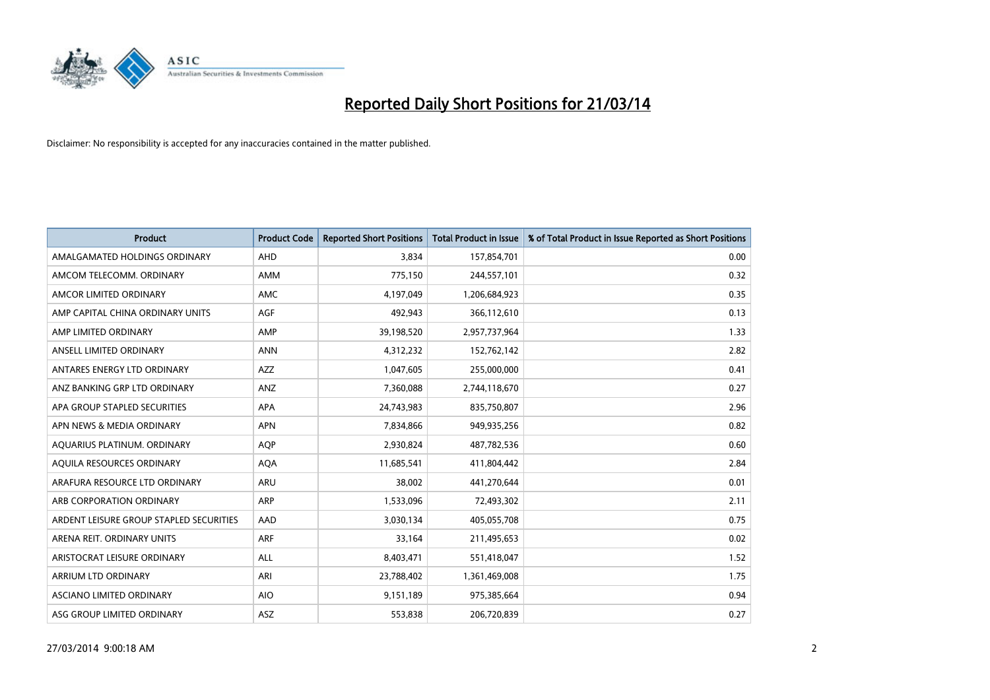

| <b>Product</b>                          | <b>Product Code</b> | <b>Reported Short Positions</b> | <b>Total Product in Issue</b> | % of Total Product in Issue Reported as Short Positions |
|-----------------------------------------|---------------------|---------------------------------|-------------------------------|---------------------------------------------------------|
| AMALGAMATED HOLDINGS ORDINARY           | <b>AHD</b>          | 3,834                           | 157,854,701                   | 0.00                                                    |
| AMCOM TELECOMM. ORDINARY                | <b>AMM</b>          | 775,150                         | 244,557,101                   | 0.32                                                    |
| AMCOR LIMITED ORDINARY                  | <b>AMC</b>          | 4,197,049                       | 1,206,684,923                 | 0.35                                                    |
| AMP CAPITAL CHINA ORDINARY UNITS        | <b>AGF</b>          | 492,943                         | 366,112,610                   | 0.13                                                    |
| AMP LIMITED ORDINARY                    | AMP                 | 39,198,520                      | 2,957,737,964                 | 1.33                                                    |
| ANSELL LIMITED ORDINARY                 | <b>ANN</b>          | 4,312,232                       | 152,762,142                   | 2.82                                                    |
| ANTARES ENERGY LTD ORDINARY             | <b>AZZ</b>          | 1,047,605                       | 255,000,000                   | 0.41                                                    |
| ANZ BANKING GRP LTD ORDINARY            | ANZ                 | 7,360,088                       | 2,744,118,670                 | 0.27                                                    |
| APA GROUP STAPLED SECURITIES            | <b>APA</b>          | 24,743,983                      | 835,750,807                   | 2.96                                                    |
| APN NEWS & MEDIA ORDINARY               | <b>APN</b>          | 7,834,866                       | 949,935,256                   | 0.82                                                    |
| AQUARIUS PLATINUM. ORDINARY             | <b>AOP</b>          | 2,930,824                       | 487,782,536                   | 0.60                                                    |
| AQUILA RESOURCES ORDINARY               | <b>AQA</b>          | 11,685,541                      | 411,804,442                   | 2.84                                                    |
| ARAFURA RESOURCE LTD ORDINARY           | <b>ARU</b>          | 38,002                          | 441,270,644                   | 0.01                                                    |
| ARB CORPORATION ORDINARY                | <b>ARP</b>          | 1,533,096                       | 72,493,302                    | 2.11                                                    |
| ARDENT LEISURE GROUP STAPLED SECURITIES | AAD                 | 3,030,134                       | 405,055,708                   | 0.75                                                    |
| ARENA REIT. ORDINARY UNITS              | <b>ARF</b>          | 33,164                          | 211,495,653                   | 0.02                                                    |
| ARISTOCRAT LEISURE ORDINARY             | ALL                 | 8,403,471                       | 551,418,047                   | 1.52                                                    |
| ARRIUM LTD ORDINARY                     | ARI                 | 23,788,402                      | 1,361,469,008                 | 1.75                                                    |
| ASCIANO LIMITED ORDINARY                | <b>AIO</b>          | 9,151,189                       | 975,385,664                   | 0.94                                                    |
| ASG GROUP LIMITED ORDINARY              | ASZ                 | 553,838                         | 206,720,839                   | 0.27                                                    |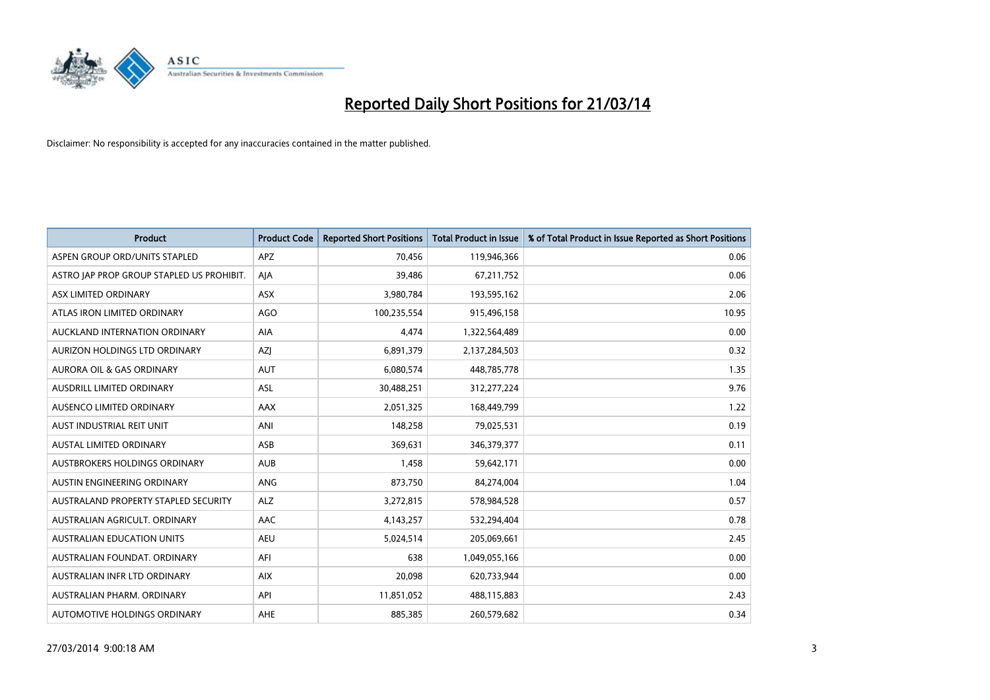

| <b>Product</b>                            | <b>Product Code</b> | <b>Reported Short Positions</b> | <b>Total Product in Issue</b> | % of Total Product in Issue Reported as Short Positions |
|-------------------------------------------|---------------------|---------------------------------|-------------------------------|---------------------------------------------------------|
| ASPEN GROUP ORD/UNITS STAPLED             | <b>APZ</b>          | 70.456                          | 119,946,366                   | 0.06                                                    |
| ASTRO JAP PROP GROUP STAPLED US PROHIBIT. | AJA                 | 39,486                          | 67,211,752                    | 0.06                                                    |
| ASX LIMITED ORDINARY                      | <b>ASX</b>          | 3,980,784                       | 193,595,162                   | 2.06                                                    |
| ATLAS IRON LIMITED ORDINARY               | AGO                 | 100,235,554                     | 915,496,158                   | 10.95                                                   |
| AUCKLAND INTERNATION ORDINARY             | AIA                 | 4,474                           | 1,322,564,489                 | 0.00                                                    |
| AURIZON HOLDINGS LTD ORDINARY             | <b>AZI</b>          | 6,891,379                       | 2,137,284,503                 | 0.32                                                    |
| <b>AURORA OIL &amp; GAS ORDINARY</b>      | <b>AUT</b>          | 6,080,574                       | 448,785,778                   | 1.35                                                    |
| <b>AUSDRILL LIMITED ORDINARY</b>          | <b>ASL</b>          | 30,488,251                      | 312,277,224                   | 9.76                                                    |
| AUSENCO LIMITED ORDINARY                  | AAX                 | 2,051,325                       | 168,449,799                   | 1.22                                                    |
| AUST INDUSTRIAL REIT UNIT                 | ANI                 | 148,258                         | 79,025,531                    | 0.19                                                    |
| <b>AUSTAL LIMITED ORDINARY</b>            | ASB                 | 369,631                         | 346, 379, 377                 | 0.11                                                    |
| AUSTBROKERS HOLDINGS ORDINARY             | <b>AUB</b>          | 1,458                           | 59,642,171                    | 0.00                                                    |
| AUSTIN ENGINEERING ORDINARY               | <b>ANG</b>          | 873,750                         | 84,274,004                    | 1.04                                                    |
| AUSTRALAND PROPERTY STAPLED SECURITY      | <b>ALZ</b>          | 3,272,815                       | 578,984,528                   | 0.57                                                    |
| AUSTRALIAN AGRICULT, ORDINARY             | AAC                 | 4,143,257                       | 532,294,404                   | 0.78                                                    |
| AUSTRALIAN EDUCATION UNITS                | <b>AEU</b>          | 5,024,514                       | 205,069,661                   | 2.45                                                    |
| AUSTRALIAN FOUNDAT. ORDINARY              | AFI                 | 638                             | 1,049,055,166                 | 0.00                                                    |
| AUSTRALIAN INFR LTD ORDINARY              | <b>AIX</b>          | 20,098                          | 620,733,944                   | 0.00                                                    |
| AUSTRALIAN PHARM, ORDINARY                | API                 | 11,851,052                      | 488,115,883                   | 2.43                                                    |
| <b>AUTOMOTIVE HOLDINGS ORDINARY</b>       | <b>AHE</b>          | 885.385                         | 260,579,682                   | 0.34                                                    |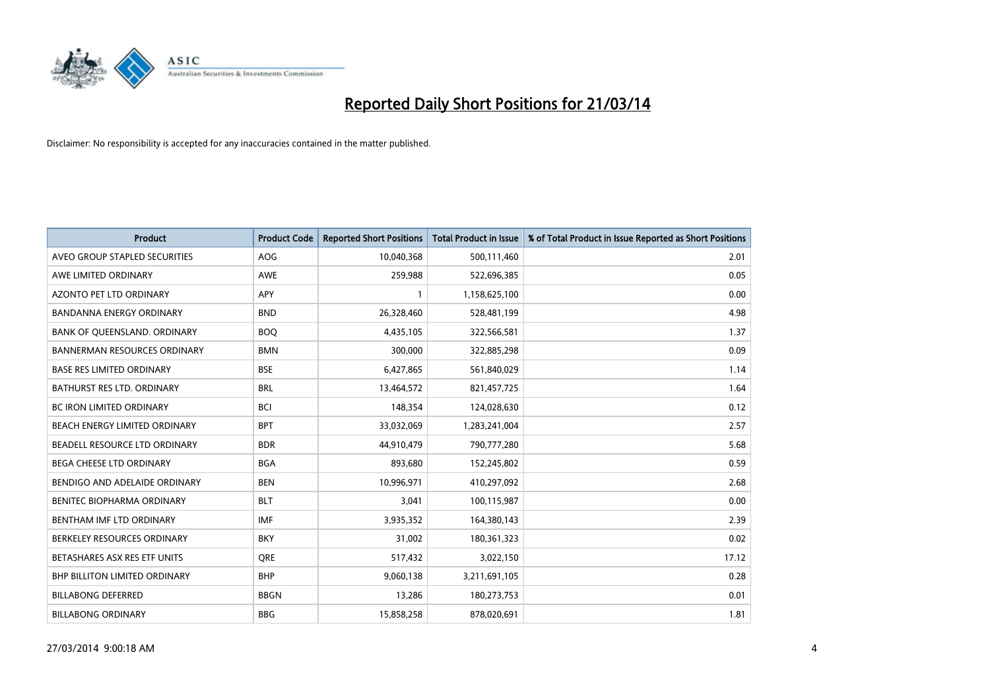

| <b>Product</b>                       | <b>Product Code</b> | <b>Reported Short Positions</b> | <b>Total Product in Issue</b> | % of Total Product in Issue Reported as Short Positions |
|--------------------------------------|---------------------|---------------------------------|-------------------------------|---------------------------------------------------------|
| AVEO GROUP STAPLED SECURITIES        | <b>AOG</b>          | 10,040,368                      | 500,111,460                   | 2.01                                                    |
| AWE LIMITED ORDINARY                 | AWE                 | 259,988                         | 522,696,385                   | 0.05                                                    |
| AZONTO PET LTD ORDINARY              | APY                 |                                 | 1,158,625,100                 | 0.00                                                    |
| BANDANNA ENERGY ORDINARY             | <b>BND</b>          | 26,328,460                      | 528,481,199                   | 4.98                                                    |
| BANK OF QUEENSLAND. ORDINARY         | <b>BOQ</b>          | 4,435,105                       | 322,566,581                   | 1.37                                                    |
| <b>BANNERMAN RESOURCES ORDINARY</b>  | <b>BMN</b>          | 300,000                         | 322,885,298                   | 0.09                                                    |
| <b>BASE RES LIMITED ORDINARY</b>     | <b>BSE</b>          | 6,427,865                       | 561,840,029                   | 1.14                                                    |
| <b>BATHURST RES LTD. ORDINARY</b>    | <b>BRL</b>          | 13,464,572                      | 821,457,725                   | 1.64                                                    |
| BC IRON LIMITED ORDINARY             | <b>BCI</b>          | 148,354                         | 124,028,630                   | 0.12                                                    |
| BEACH ENERGY LIMITED ORDINARY        | <b>BPT</b>          | 33,032,069                      | 1,283,241,004                 | 2.57                                                    |
| BEADELL RESOURCE LTD ORDINARY        | <b>BDR</b>          | 44,910,479                      | 790,777,280                   | 5.68                                                    |
| <b>BEGA CHEESE LTD ORDINARY</b>      | <b>BGA</b>          | 893,680                         | 152,245,802                   | 0.59                                                    |
| BENDIGO AND ADELAIDE ORDINARY        | <b>BEN</b>          | 10,996,971                      | 410,297,092                   | 2.68                                                    |
| <b>BENITEC BIOPHARMA ORDINARY</b>    | <b>BLT</b>          | 3,041                           | 100,115,987                   | 0.00                                                    |
| BENTHAM IMF LTD ORDINARY             | <b>IMF</b>          | 3,935,352                       | 164,380,143                   | 2.39                                                    |
| BERKELEY RESOURCES ORDINARY          | <b>BKY</b>          | 31,002                          | 180,361,323                   | 0.02                                                    |
| BETASHARES ASX RES ETF UNITS         | <b>ORE</b>          | 517,432                         | 3,022,150                     | 17.12                                                   |
| <b>BHP BILLITON LIMITED ORDINARY</b> | <b>BHP</b>          | 9,060,138                       | 3,211,691,105                 | 0.28                                                    |
| <b>BILLABONG DEFERRED</b>            | <b>BBGN</b>         | 13,286                          | 180,273,753                   | 0.01                                                    |
| <b>BILLABONG ORDINARY</b>            | <b>BBG</b>          | 15,858,258                      | 878,020,691                   | 1.81                                                    |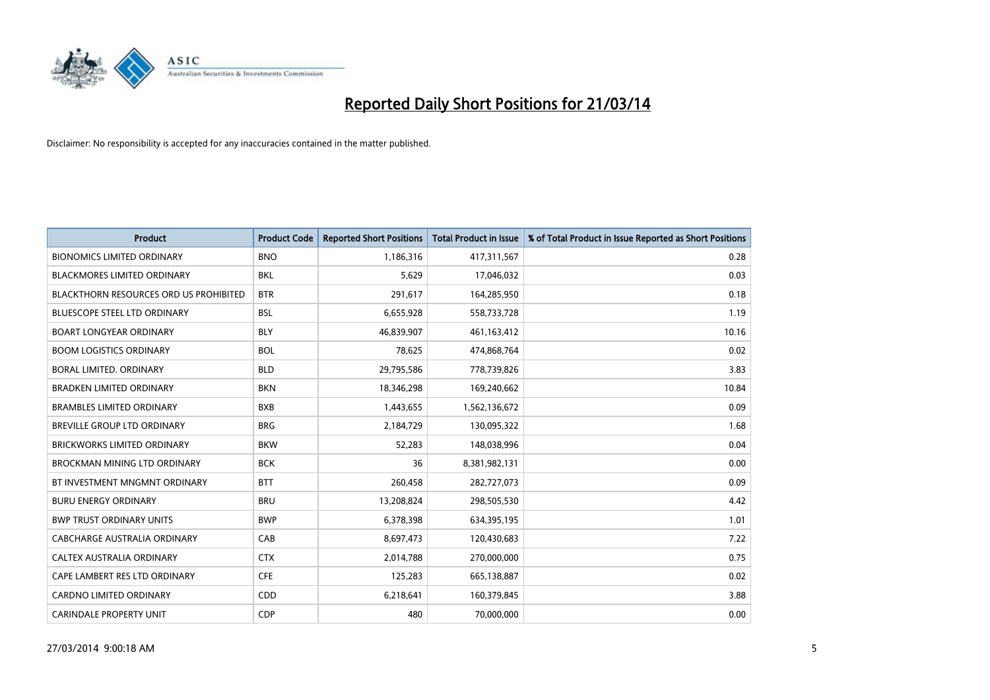

| <b>Product</b>                                | <b>Product Code</b> | <b>Reported Short Positions</b> | <b>Total Product in Issue</b> | % of Total Product in Issue Reported as Short Positions |
|-----------------------------------------------|---------------------|---------------------------------|-------------------------------|---------------------------------------------------------|
| <b>BIONOMICS LIMITED ORDINARY</b>             | <b>BNO</b>          | 1,186,316                       | 417,311,567                   | 0.28                                                    |
| <b>BLACKMORES LIMITED ORDINARY</b>            | <b>BKL</b>          | 5,629                           | 17,046,032                    | 0.03                                                    |
| <b>BLACKTHORN RESOURCES ORD US PROHIBITED</b> | <b>BTR</b>          | 291,617                         | 164,285,950                   | 0.18                                                    |
| BLUESCOPE STEEL LTD ORDINARY                  | <b>BSL</b>          | 6,655,928                       | 558,733,728                   | 1.19                                                    |
| <b>BOART LONGYEAR ORDINARY</b>                | <b>BLY</b>          | 46,839,907                      | 461,163,412                   | 10.16                                                   |
| <b>BOOM LOGISTICS ORDINARY</b>                | <b>BOL</b>          | 78,625                          | 474,868,764                   | 0.02                                                    |
| BORAL LIMITED, ORDINARY                       | <b>BLD</b>          | 29,795,586                      | 778,739,826                   | 3.83                                                    |
| <b>BRADKEN LIMITED ORDINARY</b>               | <b>BKN</b>          | 18,346,298                      | 169,240,662                   | 10.84                                                   |
| <b>BRAMBLES LIMITED ORDINARY</b>              | <b>BXB</b>          | 1,443,655                       | 1,562,136,672                 | 0.09                                                    |
| BREVILLE GROUP LTD ORDINARY                   | <b>BRG</b>          | 2,184,729                       | 130,095,322                   | 1.68                                                    |
| <b>BRICKWORKS LIMITED ORDINARY</b>            | <b>BKW</b>          | 52,283                          | 148,038,996                   | 0.04                                                    |
| <b>BROCKMAN MINING LTD ORDINARY</b>           | <b>BCK</b>          | 36                              | 8,381,982,131                 | 0.00                                                    |
| BT INVESTMENT MNGMNT ORDINARY                 | <b>BTT</b>          | 260,458                         | 282,727,073                   | 0.09                                                    |
| <b>BURU ENERGY ORDINARY</b>                   | <b>BRU</b>          | 13,208,824                      | 298,505,530                   | 4.42                                                    |
| <b>BWP TRUST ORDINARY UNITS</b>               | <b>BWP</b>          | 6,378,398                       | 634,395,195                   | 1.01                                                    |
| CABCHARGE AUSTRALIA ORDINARY                  | CAB                 | 8,697,473                       | 120,430,683                   | 7.22                                                    |
| CALTEX AUSTRALIA ORDINARY                     | <b>CTX</b>          | 2,014,788                       | 270,000,000                   | 0.75                                                    |
| CAPE LAMBERT RES LTD ORDINARY                 | <b>CFE</b>          | 125,283                         | 665,138,887                   | 0.02                                                    |
| <b>CARDNO LIMITED ORDINARY</b>                | CDD                 | 6,218,641                       | 160,379,845                   | 3.88                                                    |
| <b>CARINDALE PROPERTY UNIT</b>                | <b>CDP</b>          | 480                             | 70,000,000                    | 0.00                                                    |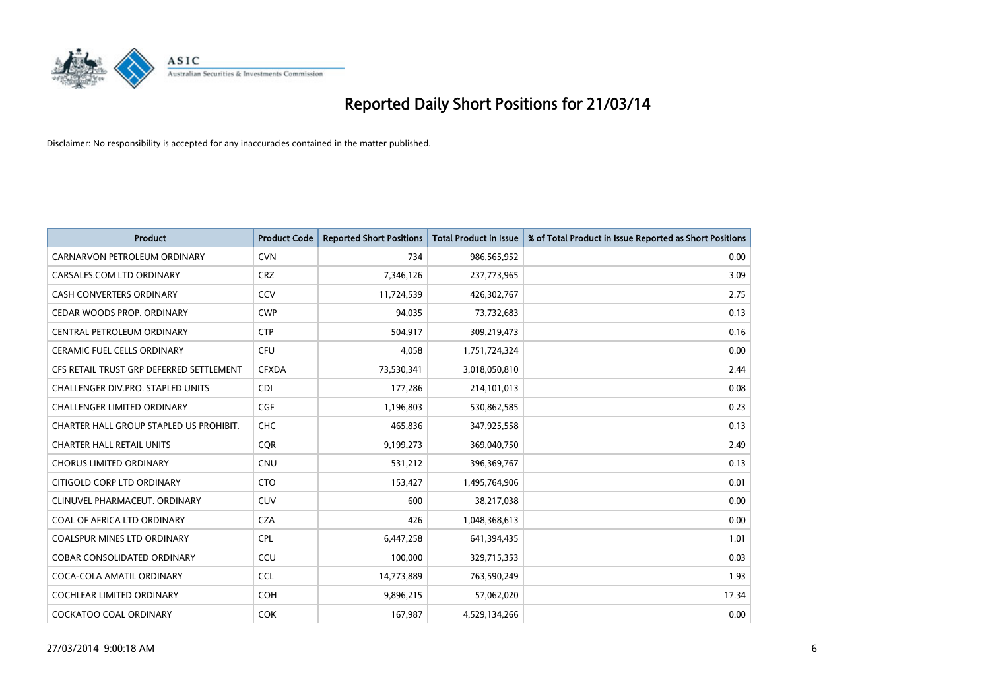

| <b>Product</b>                           | <b>Product Code</b> | <b>Reported Short Positions</b> | <b>Total Product in Issue</b> | % of Total Product in Issue Reported as Short Positions |
|------------------------------------------|---------------------|---------------------------------|-------------------------------|---------------------------------------------------------|
| CARNARVON PETROLEUM ORDINARY             | <b>CVN</b>          | 734                             | 986,565,952                   | 0.00                                                    |
| CARSALES.COM LTD ORDINARY                | <b>CRZ</b>          | 7,346,126                       | 237,773,965                   | 3.09                                                    |
| <b>CASH CONVERTERS ORDINARY</b>          | CCV                 | 11,724,539                      | 426,302,767                   | 2.75                                                    |
| CEDAR WOODS PROP. ORDINARY               | <b>CWP</b>          | 94,035                          | 73,732,683                    | 0.13                                                    |
| CENTRAL PETROLEUM ORDINARY               | <b>CTP</b>          | 504,917                         | 309,219,473                   | 0.16                                                    |
| <b>CERAMIC FUEL CELLS ORDINARY</b>       | <b>CFU</b>          | 4,058                           | 1,751,724,324                 | 0.00                                                    |
| CFS RETAIL TRUST GRP DEFERRED SETTLEMENT | <b>CFXDA</b>        | 73,530,341                      | 3,018,050,810                 | 2.44                                                    |
| CHALLENGER DIV.PRO. STAPLED UNITS        | <b>CDI</b>          | 177,286                         | 214,101,013                   | 0.08                                                    |
| <b>CHALLENGER LIMITED ORDINARY</b>       | <b>CGF</b>          | 1,196,803                       | 530,862,585                   | 0.23                                                    |
| CHARTER HALL GROUP STAPLED US PROHIBIT.  | <b>CHC</b>          | 465,836                         | 347,925,558                   | 0.13                                                    |
| <b>CHARTER HALL RETAIL UNITS</b>         | <b>COR</b>          | 9,199,273                       | 369,040,750                   | 2.49                                                    |
| <b>CHORUS LIMITED ORDINARY</b>           | <b>CNU</b>          | 531,212                         | 396,369,767                   | 0.13                                                    |
| CITIGOLD CORP LTD ORDINARY               | <b>CTO</b>          | 153,427                         | 1,495,764,906                 | 0.01                                                    |
| CLINUVEL PHARMACEUT. ORDINARY            | <b>CUV</b>          | 600                             | 38,217,038                    | 0.00                                                    |
| COAL OF AFRICA LTD ORDINARY              | <b>CZA</b>          | 426                             | 1,048,368,613                 | 0.00                                                    |
| <b>COALSPUR MINES LTD ORDINARY</b>       | <b>CPL</b>          | 6,447,258                       | 641,394,435                   | 1.01                                                    |
| COBAR CONSOLIDATED ORDINARY              | CCU                 | 100,000                         | 329,715,353                   | 0.03                                                    |
| COCA-COLA AMATIL ORDINARY                | <b>CCL</b>          | 14,773,889                      | 763,590,249                   | 1.93                                                    |
| <b>COCHLEAR LIMITED ORDINARY</b>         | <b>COH</b>          | 9,896,215                       | 57,062,020                    | 17.34                                                   |
| COCKATOO COAL ORDINARY                   | <b>COK</b>          | 167,987                         | 4,529,134,266                 | 0.00                                                    |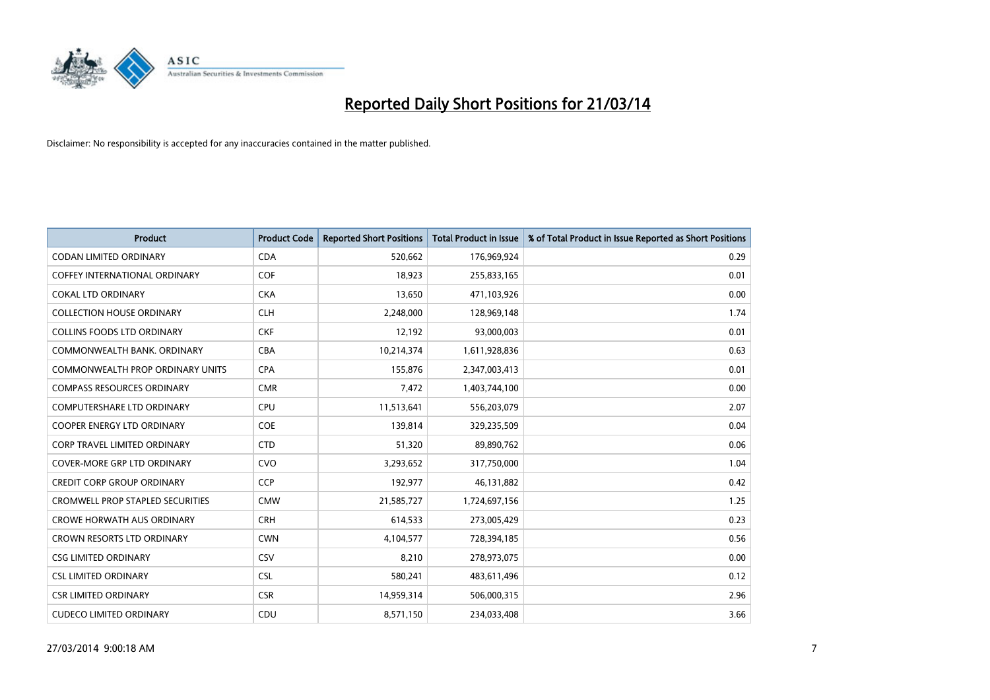

| <b>Product</b>                          | <b>Product Code</b> | <b>Reported Short Positions</b> | <b>Total Product in Issue</b> | % of Total Product in Issue Reported as Short Positions |
|-----------------------------------------|---------------------|---------------------------------|-------------------------------|---------------------------------------------------------|
| <b>CODAN LIMITED ORDINARY</b>           | <b>CDA</b>          | 520,662                         | 176,969,924                   | 0.29                                                    |
| COFFEY INTERNATIONAL ORDINARY           | <b>COF</b>          | 18,923                          | 255,833,165                   | 0.01                                                    |
| <b>COKAL LTD ORDINARY</b>               | <b>CKA</b>          | 13,650                          | 471,103,926                   | 0.00                                                    |
| <b>COLLECTION HOUSE ORDINARY</b>        | <b>CLH</b>          | 2,248,000                       | 128,969,148                   | 1.74                                                    |
| <b>COLLINS FOODS LTD ORDINARY</b>       | <b>CKF</b>          | 12,192                          | 93,000,003                    | 0.01                                                    |
| COMMONWEALTH BANK, ORDINARY             | <b>CBA</b>          | 10,214,374                      | 1,611,928,836                 | 0.63                                                    |
| <b>COMMONWEALTH PROP ORDINARY UNITS</b> | <b>CPA</b>          | 155,876                         | 2,347,003,413                 | 0.01                                                    |
| <b>COMPASS RESOURCES ORDINARY</b>       | <b>CMR</b>          | 7,472                           | 1,403,744,100                 | 0.00                                                    |
| <b>COMPUTERSHARE LTD ORDINARY</b>       | <b>CPU</b>          | 11,513,641                      | 556,203,079                   | 2.07                                                    |
| <b>COOPER ENERGY LTD ORDINARY</b>       | COE                 | 139,814                         | 329,235,509                   | 0.04                                                    |
| CORP TRAVEL LIMITED ORDINARY            | <b>CTD</b>          | 51,320                          | 89,890,762                    | 0.06                                                    |
| <b>COVER-MORE GRP LTD ORDINARY</b>      | <b>CVO</b>          | 3,293,652                       | 317,750,000                   | 1.04                                                    |
| CREDIT CORP GROUP ORDINARY              | CCP                 | 192,977                         | 46,131,882                    | 0.42                                                    |
| <b>CROMWELL PROP STAPLED SECURITIES</b> | <b>CMW</b>          | 21,585,727                      | 1,724,697,156                 | 1.25                                                    |
| <b>CROWE HORWATH AUS ORDINARY</b>       | <b>CRH</b>          | 614,533                         | 273,005,429                   | 0.23                                                    |
| <b>CROWN RESORTS LTD ORDINARY</b>       | <b>CWN</b>          | 4,104,577                       | 728,394,185                   | 0.56                                                    |
| <b>CSG LIMITED ORDINARY</b>             | CSV                 | 8,210                           | 278,973,075                   | 0.00                                                    |
| <b>CSL LIMITED ORDINARY</b>             | <b>CSL</b>          | 580,241                         | 483,611,496                   | 0.12                                                    |
| <b>CSR LIMITED ORDINARY</b>             | <b>CSR</b>          | 14,959,314                      | 506,000,315                   | 2.96                                                    |
| <b>CUDECO LIMITED ORDINARY</b>          | CDU                 | 8,571,150                       | 234,033,408                   | 3.66                                                    |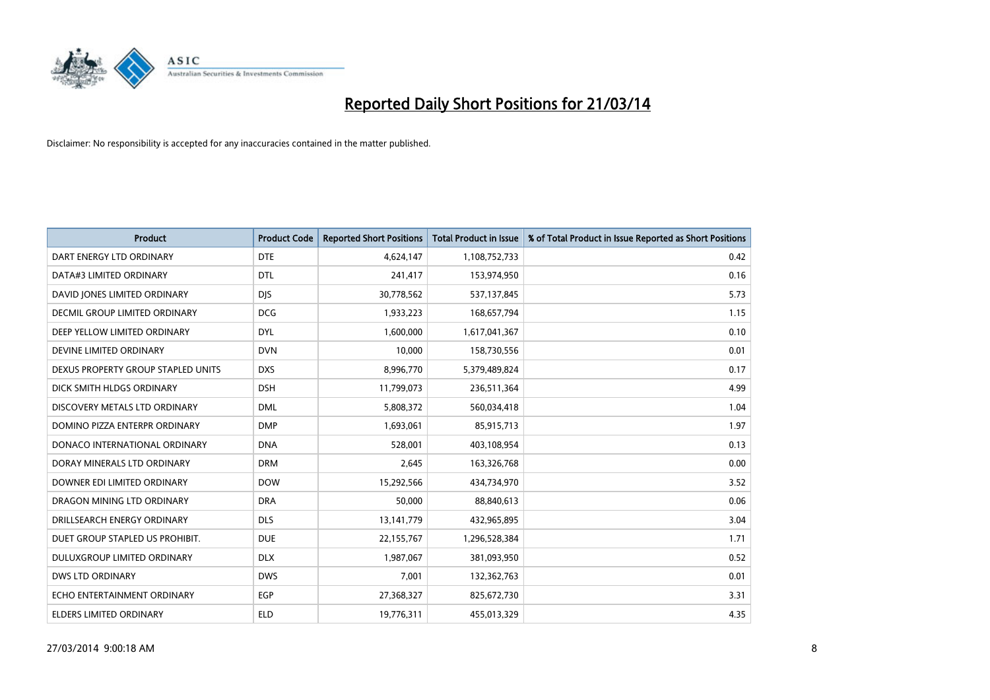

| <b>Product</b>                       | <b>Product Code</b> | <b>Reported Short Positions</b> | <b>Total Product in Issue</b> | % of Total Product in Issue Reported as Short Positions |
|--------------------------------------|---------------------|---------------------------------|-------------------------------|---------------------------------------------------------|
| DART ENERGY LTD ORDINARY             | <b>DTE</b>          | 4,624,147                       | 1,108,752,733                 | 0.42                                                    |
| DATA#3 LIMITED ORDINARY              | <b>DTL</b>          | 241,417                         | 153,974,950                   | 0.16                                                    |
| DAVID JONES LIMITED ORDINARY         | <b>DIS</b>          | 30,778,562                      | 537,137,845                   | 5.73                                                    |
| <b>DECMIL GROUP LIMITED ORDINARY</b> | <b>DCG</b>          | 1,933,223                       | 168,657,794                   | 1.15                                                    |
| DEEP YELLOW LIMITED ORDINARY         | <b>DYL</b>          | 1,600,000                       | 1,617,041,367                 | 0.10                                                    |
| DEVINE LIMITED ORDINARY              | <b>DVN</b>          | 10,000                          | 158,730,556                   | 0.01                                                    |
| DEXUS PROPERTY GROUP STAPLED UNITS   | <b>DXS</b>          | 8,996,770                       | 5,379,489,824                 | 0.17                                                    |
| DICK SMITH HLDGS ORDINARY            | <b>DSH</b>          | 11,799,073                      | 236,511,364                   | 4.99                                                    |
| DISCOVERY METALS LTD ORDINARY        | <b>DML</b>          | 5,808,372                       | 560,034,418                   | 1.04                                                    |
| DOMINO PIZZA ENTERPR ORDINARY        | <b>DMP</b>          | 1,693,061                       | 85,915,713                    | 1.97                                                    |
| DONACO INTERNATIONAL ORDINARY        | <b>DNA</b>          | 528,001                         | 403,108,954                   | 0.13                                                    |
| DORAY MINERALS LTD ORDINARY          | <b>DRM</b>          | 2,645                           | 163,326,768                   | 0.00                                                    |
| DOWNER EDI LIMITED ORDINARY          | <b>DOW</b>          | 15,292,566                      | 434,734,970                   | 3.52                                                    |
| DRAGON MINING LTD ORDINARY           | <b>DRA</b>          | 50,000                          | 88,840,613                    | 0.06                                                    |
| DRILLSEARCH ENERGY ORDINARY          | <b>DLS</b>          | 13,141,779                      | 432,965,895                   | 3.04                                                    |
| DUET GROUP STAPLED US PROHIBIT.      | <b>DUE</b>          | 22,155,767                      | 1,296,528,384                 | 1.71                                                    |
| DULUXGROUP LIMITED ORDINARY          | <b>DLX</b>          | 1,987,067                       | 381,093,950                   | 0.52                                                    |
| <b>DWS LTD ORDINARY</b>              | <b>DWS</b>          | 7,001                           | 132,362,763                   | 0.01                                                    |
| ECHO ENTERTAINMENT ORDINARY          | <b>EGP</b>          | 27,368,327                      | 825,672,730                   | 3.31                                                    |
| ELDERS LIMITED ORDINARY              | <b>ELD</b>          | 19,776,311                      | 455,013,329                   | 4.35                                                    |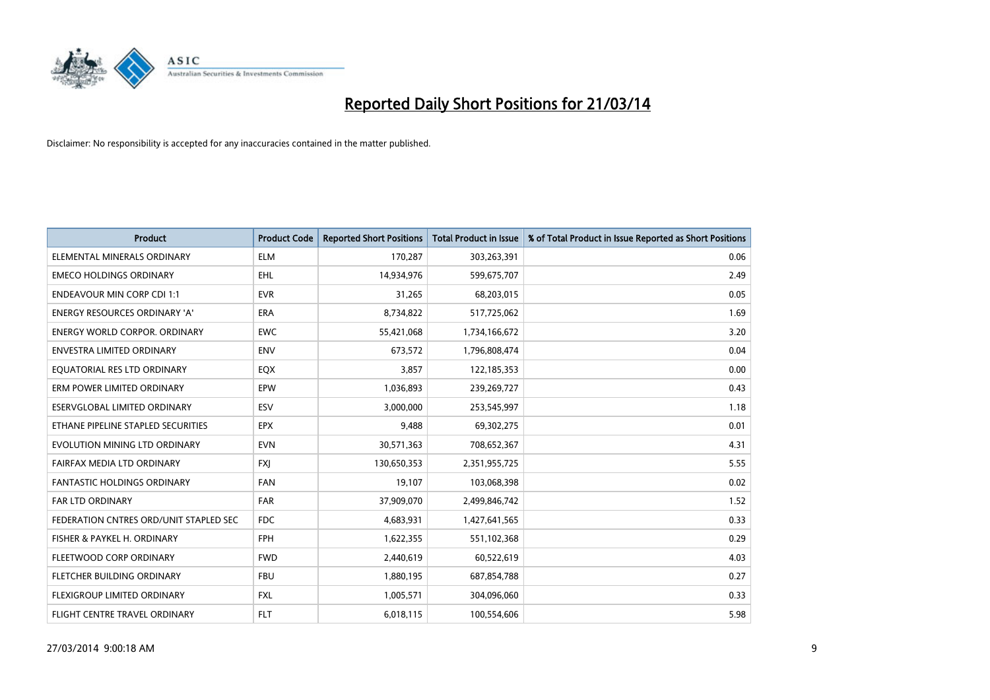

| <b>Product</b>                         | <b>Product Code</b> | <b>Reported Short Positions</b> | <b>Total Product in Issue</b> | % of Total Product in Issue Reported as Short Positions |
|----------------------------------------|---------------------|---------------------------------|-------------------------------|---------------------------------------------------------|
| ELEMENTAL MINERALS ORDINARY            | <b>ELM</b>          | 170,287                         | 303,263,391                   | 0.06                                                    |
| <b>EMECO HOLDINGS ORDINARY</b>         | <b>EHL</b>          | 14,934,976                      | 599,675,707                   | 2.49                                                    |
| <b>ENDEAVOUR MIN CORP CDI 1:1</b>      | <b>EVR</b>          | 31,265                          | 68,203,015                    | 0.05                                                    |
| ENERGY RESOURCES ORDINARY 'A'          | <b>ERA</b>          | 8,734,822                       | 517,725,062                   | 1.69                                                    |
| <b>ENERGY WORLD CORPOR, ORDINARY</b>   | <b>EWC</b>          | 55,421,068                      | 1,734,166,672                 | 3.20                                                    |
| <b>ENVESTRA LIMITED ORDINARY</b>       | <b>ENV</b>          | 673,572                         | 1,796,808,474                 | 0.04                                                    |
| EQUATORIAL RES LTD ORDINARY            | <b>EQX</b>          | 3,857                           | 122,185,353                   | 0.00                                                    |
| ERM POWER LIMITED ORDINARY             | EPW                 | 1,036,893                       | 239,269,727                   | 0.43                                                    |
| <b>ESERVGLOBAL LIMITED ORDINARY</b>    | ESV                 | 3,000,000                       | 253,545,997                   | 1.18                                                    |
| ETHANE PIPELINE STAPLED SECURITIES     | <b>EPX</b>          | 9,488                           | 69,302,275                    | 0.01                                                    |
| EVOLUTION MINING LTD ORDINARY          | <b>EVN</b>          | 30,571,363                      | 708,652,367                   | 4.31                                                    |
| FAIRFAX MEDIA LTD ORDINARY             | <b>FXI</b>          | 130,650,353                     | 2,351,955,725                 | 5.55                                                    |
| <b>FANTASTIC HOLDINGS ORDINARY</b>     | <b>FAN</b>          | 19,107                          | 103,068,398                   | 0.02                                                    |
| <b>FAR LTD ORDINARY</b>                | <b>FAR</b>          | 37,909,070                      | 2,499,846,742                 | 1.52                                                    |
| FEDERATION CNTRES ORD/UNIT STAPLED SEC | <b>FDC</b>          | 4,683,931                       | 1,427,641,565                 | 0.33                                                    |
| FISHER & PAYKEL H. ORDINARY            | <b>FPH</b>          | 1,622,355                       | 551,102,368                   | 0.29                                                    |
| FLEETWOOD CORP ORDINARY                | <b>FWD</b>          | 2,440,619                       | 60,522,619                    | 4.03                                                    |
| FLETCHER BUILDING ORDINARY             | <b>FBU</b>          | 1,880,195                       | 687,854,788                   | 0.27                                                    |
| <b>FLEXIGROUP LIMITED ORDINARY</b>     | <b>FXL</b>          | 1,005,571                       | 304,096,060                   | 0.33                                                    |
| FLIGHT CENTRE TRAVEL ORDINARY          | <b>FLT</b>          | 6,018,115                       | 100,554,606                   | 5.98                                                    |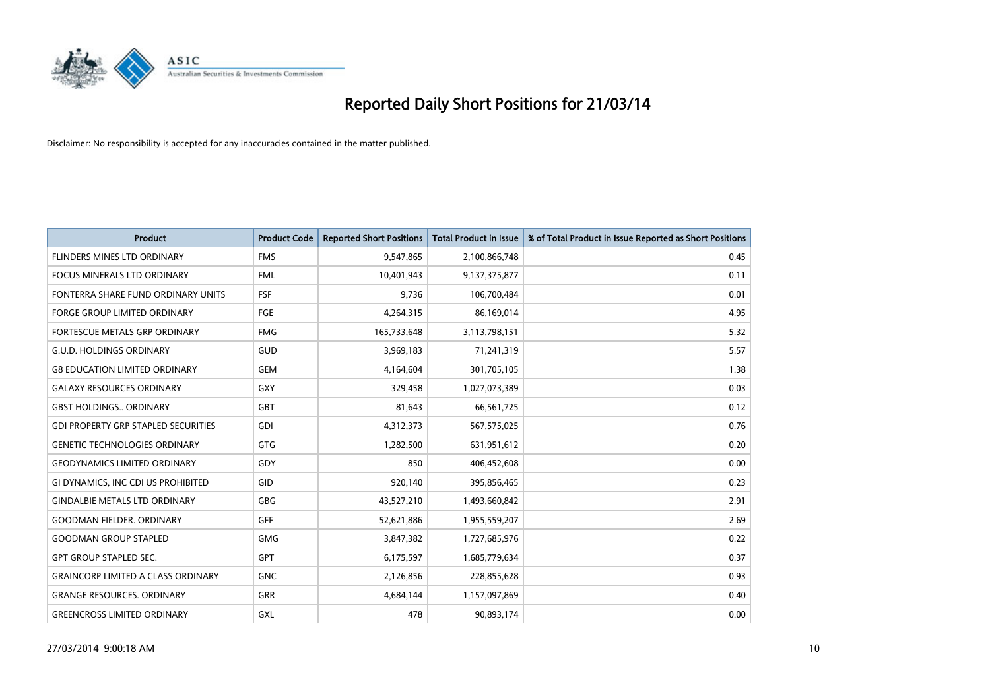

| <b>Product</b>                             | <b>Product Code</b> | <b>Reported Short Positions</b> | <b>Total Product in Issue</b> | % of Total Product in Issue Reported as Short Positions |
|--------------------------------------------|---------------------|---------------------------------|-------------------------------|---------------------------------------------------------|
| FLINDERS MINES LTD ORDINARY                | <b>FMS</b>          | 9,547,865                       | 2,100,866,748                 | 0.45                                                    |
| <b>FOCUS MINERALS LTD ORDINARY</b>         | <b>FML</b>          | 10,401,943                      | 9,137,375,877                 | 0.11                                                    |
| FONTERRA SHARE FUND ORDINARY UNITS         | FSF                 | 9,736                           | 106,700,484                   | 0.01                                                    |
| FORGE GROUP LIMITED ORDINARY               | FGE                 | 4,264,315                       | 86,169,014                    | 4.95                                                    |
| FORTESCUE METALS GRP ORDINARY              | <b>FMG</b>          | 165,733,648                     | 3,113,798,151                 | 5.32                                                    |
| <b>G.U.D. HOLDINGS ORDINARY</b>            | GUD                 | 3,969,183                       | 71,241,319                    | 5.57                                                    |
| <b>G8 EDUCATION LIMITED ORDINARY</b>       | <b>GEM</b>          | 4,164,604                       | 301,705,105                   | 1.38                                                    |
| <b>GALAXY RESOURCES ORDINARY</b>           | <b>GXY</b>          | 329,458                         | 1,027,073,389                 | 0.03                                                    |
| <b>GBST HOLDINGS ORDINARY</b>              | GBT                 | 81,643                          | 66,561,725                    | 0.12                                                    |
| <b>GDI PROPERTY GRP STAPLED SECURITIES</b> | <b>GDI</b>          | 4,312,373                       | 567,575,025                   | 0.76                                                    |
| <b>GENETIC TECHNOLOGIES ORDINARY</b>       | <b>GTG</b>          | 1,282,500                       | 631,951,612                   | 0.20                                                    |
| <b>GEODYNAMICS LIMITED ORDINARY</b>        | GDY                 | 850                             | 406,452,608                   | 0.00                                                    |
| GI DYNAMICS, INC CDI US PROHIBITED         | GID                 | 920,140                         | 395,856,465                   | 0.23                                                    |
| <b>GINDALBIE METALS LTD ORDINARY</b>       | GBG                 | 43,527,210                      | 1,493,660,842                 | 2.91                                                    |
| <b>GOODMAN FIELDER, ORDINARY</b>           | <b>GFF</b>          | 52,621,886                      | 1,955,559,207                 | 2.69                                                    |
| <b>GOODMAN GROUP STAPLED</b>               | <b>GMG</b>          | 3,847,382                       | 1,727,685,976                 | 0.22                                                    |
| <b>GPT GROUP STAPLED SEC.</b>              | <b>GPT</b>          | 6,175,597                       | 1,685,779,634                 | 0.37                                                    |
| <b>GRAINCORP LIMITED A CLASS ORDINARY</b>  | <b>GNC</b>          | 2,126,856                       | 228,855,628                   | 0.93                                                    |
| <b>GRANGE RESOURCES, ORDINARY</b>          | <b>GRR</b>          | 4,684,144                       | 1,157,097,869                 | 0.40                                                    |
| <b>GREENCROSS LIMITED ORDINARY</b>         | GXL                 | 478                             | 90,893,174                    | 0.00                                                    |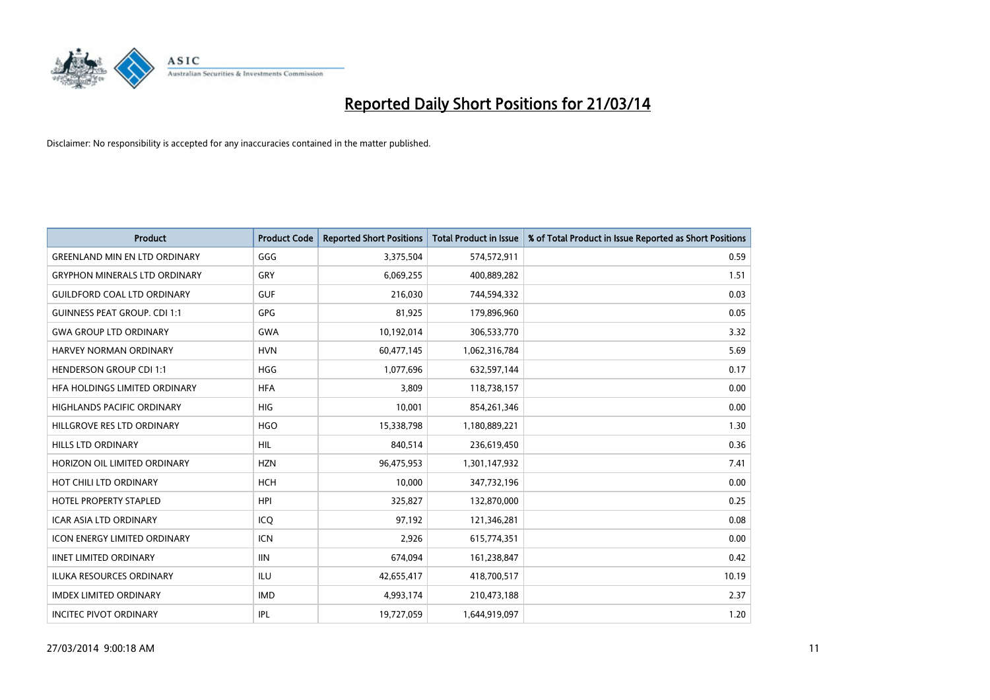

| <b>Product</b>                       | <b>Product Code</b> | <b>Reported Short Positions</b> | <b>Total Product in Issue</b> | % of Total Product in Issue Reported as Short Positions |
|--------------------------------------|---------------------|---------------------------------|-------------------------------|---------------------------------------------------------|
| <b>GREENLAND MIN EN LTD ORDINARY</b> | GGG                 | 3,375,504                       | 574,572,911                   | 0.59                                                    |
| <b>GRYPHON MINERALS LTD ORDINARY</b> | GRY                 | 6,069,255                       | 400,889,282                   | 1.51                                                    |
| <b>GUILDFORD COAL LTD ORDINARY</b>   | <b>GUF</b>          | 216,030                         | 744,594,332                   | 0.03                                                    |
| <b>GUINNESS PEAT GROUP. CDI 1:1</b>  | <b>GPG</b>          | 81,925                          | 179,896,960                   | 0.05                                                    |
| <b>GWA GROUP LTD ORDINARY</b>        | <b>GWA</b>          | 10,192,014                      | 306,533,770                   | 3.32                                                    |
| <b>HARVEY NORMAN ORDINARY</b>        | <b>HVN</b>          | 60,477,145                      | 1,062,316,784                 | 5.69                                                    |
| <b>HENDERSON GROUP CDI 1:1</b>       | <b>HGG</b>          | 1,077,696                       | 632,597,144                   | 0.17                                                    |
| HFA HOLDINGS LIMITED ORDINARY        | <b>HFA</b>          | 3,809                           | 118,738,157                   | 0.00                                                    |
| HIGHLANDS PACIFIC ORDINARY           | <b>HIG</b>          | 10,001                          | 854,261,346                   | 0.00                                                    |
| HILLGROVE RES LTD ORDINARY           | <b>HGO</b>          | 15,338,798                      | 1,180,889,221                 | 1.30                                                    |
| <b>HILLS LTD ORDINARY</b>            | <b>HIL</b>          | 840,514                         | 236,619,450                   | 0.36                                                    |
| HORIZON OIL LIMITED ORDINARY         | <b>HZN</b>          | 96,475,953                      | 1,301,147,932                 | 7.41                                                    |
| HOT CHILI LTD ORDINARY               | <b>HCH</b>          | 10.000                          | 347,732,196                   | 0.00                                                    |
| <b>HOTEL PROPERTY STAPLED</b>        | <b>HPI</b>          | 325,827                         | 132,870,000                   | 0.25                                                    |
| <b>ICAR ASIA LTD ORDINARY</b>        | ICO                 | 97,192                          | 121,346,281                   | 0.08                                                    |
| <b>ICON ENERGY LIMITED ORDINARY</b>  | <b>ICN</b>          | 2,926                           | 615,774,351                   | 0.00                                                    |
| <b>IINET LIMITED ORDINARY</b>        | <b>IIN</b>          | 674,094                         | 161,238,847                   | 0.42                                                    |
| ILUKA RESOURCES ORDINARY             | ILU                 | 42,655,417                      | 418,700,517                   | 10.19                                                   |
| <b>IMDEX LIMITED ORDINARY</b>        | <b>IMD</b>          | 4,993,174                       | 210,473,188                   | 2.37                                                    |
| <b>INCITEC PIVOT ORDINARY</b>        | IPL                 | 19,727,059                      | 1,644,919,097                 | 1.20                                                    |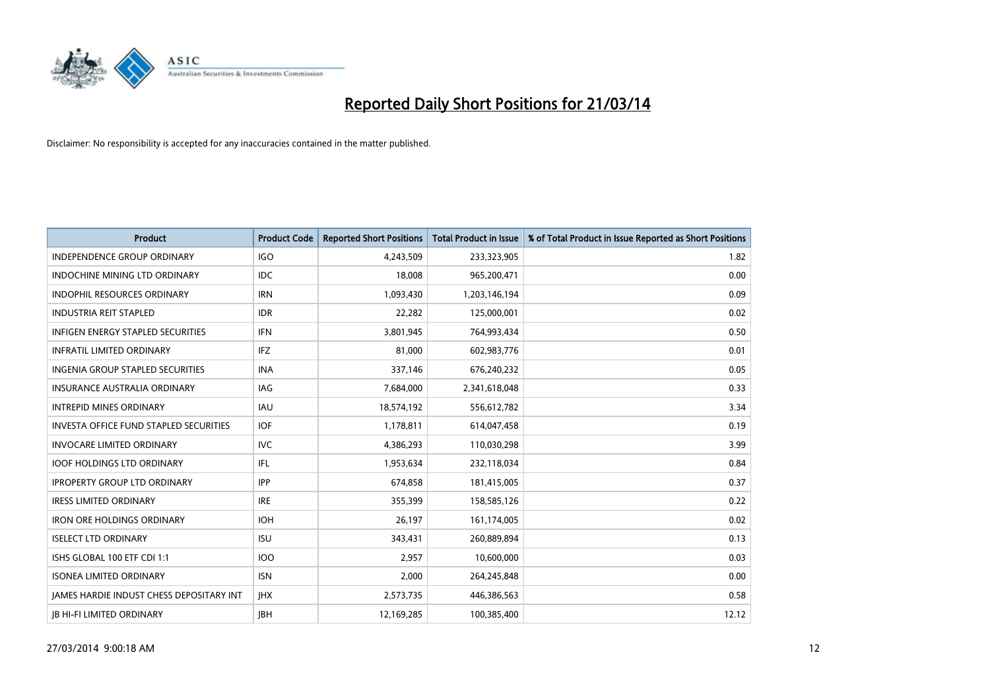

| <b>Product</b>                                  | <b>Product Code</b> | <b>Reported Short Positions</b> | <b>Total Product in Issue</b> | % of Total Product in Issue Reported as Short Positions |
|-------------------------------------------------|---------------------|---------------------------------|-------------------------------|---------------------------------------------------------|
| <b>INDEPENDENCE GROUP ORDINARY</b>              | <b>IGO</b>          | 4,243,509                       | 233,323,905                   | 1.82                                                    |
| INDOCHINE MINING LTD ORDINARY                   | <b>IDC</b>          | 18,008                          | 965,200,471                   | 0.00                                                    |
| <b>INDOPHIL RESOURCES ORDINARY</b>              | <b>IRN</b>          | 1,093,430                       | 1,203,146,194                 | 0.09                                                    |
| <b>INDUSTRIA REIT STAPLED</b>                   | <b>IDR</b>          | 22,282                          | 125,000,001                   | 0.02                                                    |
| <b>INFIGEN ENERGY STAPLED SECURITIES</b>        | <b>IFN</b>          | 3,801,945                       | 764,993,434                   | 0.50                                                    |
| <b>INFRATIL LIMITED ORDINARY</b>                | <b>IFZ</b>          | 81,000                          | 602,983,776                   | 0.01                                                    |
| <b>INGENIA GROUP STAPLED SECURITIES</b>         | <b>INA</b>          | 337,146                         | 676,240,232                   | 0.05                                                    |
| <b>INSURANCE AUSTRALIA ORDINARY</b>             | <b>IAG</b>          | 7,684,000                       | 2,341,618,048                 | 0.33                                                    |
| <b>INTREPID MINES ORDINARY</b>                  | <b>IAU</b>          | 18,574,192                      | 556,612,782                   | 3.34                                                    |
| <b>INVESTA OFFICE FUND STAPLED SECURITIES</b>   | <b>IOF</b>          | 1,178,811                       | 614,047,458                   | 0.19                                                    |
| <b>INVOCARE LIMITED ORDINARY</b>                | IVC                 | 4,386,293                       | 110,030,298                   | 3.99                                                    |
| <b>IOOF HOLDINGS LTD ORDINARY</b>               | IFL                 | 1,953,634                       | 232,118,034                   | 0.84                                                    |
| <b>IPROPERTY GROUP LTD ORDINARY</b>             | <b>IPP</b>          | 674,858                         | 181,415,005                   | 0.37                                                    |
| <b>IRESS LIMITED ORDINARY</b>                   | <b>IRE</b>          | 355,399                         | 158,585,126                   | 0.22                                                    |
| <b>IRON ORE HOLDINGS ORDINARY</b>               | <b>IOH</b>          | 26,197                          | 161,174,005                   | 0.02                                                    |
| <b>ISELECT LTD ORDINARY</b>                     | <b>ISU</b>          | 343,431                         | 260,889,894                   | 0.13                                                    |
| ISHS GLOBAL 100 ETF CDI 1:1                     | <b>IOO</b>          | 2,957                           | 10,600,000                    | 0.03                                                    |
| <b>ISONEA LIMITED ORDINARY</b>                  | <b>ISN</b>          | 2,000                           | 264,245,848                   | 0.00                                                    |
| <b>IAMES HARDIE INDUST CHESS DEPOSITARY INT</b> | <b>IHX</b>          | 2,573,735                       | 446,386,563                   | 0.58                                                    |
| <b>IB HI-FI LIMITED ORDINARY</b>                | <b>IBH</b>          | 12,169,285                      | 100,385,400                   | 12.12                                                   |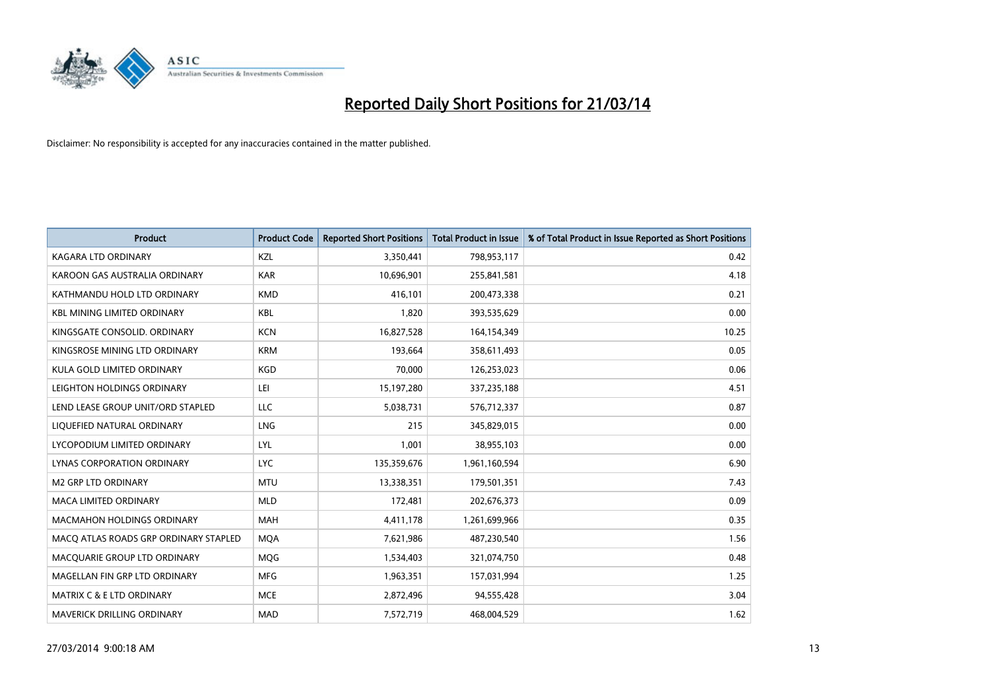

| <b>Product</b>                        | <b>Product Code</b> | <b>Reported Short Positions</b> | <b>Total Product in Issue</b> | % of Total Product in Issue Reported as Short Positions |
|---------------------------------------|---------------------|---------------------------------|-------------------------------|---------------------------------------------------------|
| <b>KAGARA LTD ORDINARY</b>            | <b>KZL</b>          | 3,350,441                       | 798,953,117                   | 0.42                                                    |
| KAROON GAS AUSTRALIA ORDINARY         | <b>KAR</b>          | 10,696,901                      | 255,841,581                   | 4.18                                                    |
| KATHMANDU HOLD LTD ORDINARY           | <b>KMD</b>          | 416,101                         | 200,473,338                   | 0.21                                                    |
| <b>KBL MINING LIMITED ORDINARY</b>    | <b>KBL</b>          | 1,820                           | 393,535,629                   | 0.00                                                    |
| KINGSGATE CONSOLID. ORDINARY          | <b>KCN</b>          | 16,827,528                      | 164,154,349                   | 10.25                                                   |
| KINGSROSE MINING LTD ORDINARY         | <b>KRM</b>          | 193,664                         | 358,611,493                   | 0.05                                                    |
| KULA GOLD LIMITED ORDINARY            | <b>KGD</b>          | 70,000                          | 126,253,023                   | 0.06                                                    |
| LEIGHTON HOLDINGS ORDINARY            | LEI                 | 15,197,280                      | 337,235,188                   | 4.51                                                    |
| LEND LEASE GROUP UNIT/ORD STAPLED     | LLC                 | 5,038,731                       | 576,712,337                   | 0.87                                                    |
| LIQUEFIED NATURAL ORDINARY            | LNG                 | 215                             | 345,829,015                   | 0.00                                                    |
| LYCOPODIUM LIMITED ORDINARY           | LYL                 | 1,001                           | 38,955,103                    | 0.00                                                    |
| <b>LYNAS CORPORATION ORDINARY</b>     | <b>LYC</b>          | 135,359,676                     | 1,961,160,594                 | 6.90                                                    |
| M2 GRP LTD ORDINARY                   | <b>MTU</b>          | 13,338,351                      | 179,501,351                   | 7.43                                                    |
| <b>MACA LIMITED ORDINARY</b>          | <b>MLD</b>          | 172,481                         | 202,676,373                   | 0.09                                                    |
| <b>MACMAHON HOLDINGS ORDINARY</b>     | <b>MAH</b>          | 4,411,178                       | 1,261,699,966                 | 0.35                                                    |
| MACQ ATLAS ROADS GRP ORDINARY STAPLED | <b>MOA</b>          | 7,621,986                       | 487,230,540                   | 1.56                                                    |
| MACQUARIE GROUP LTD ORDINARY          | <b>MOG</b>          | 1,534,403                       | 321,074,750                   | 0.48                                                    |
| MAGELLAN FIN GRP LTD ORDINARY         | <b>MFG</b>          | 1,963,351                       | 157,031,994                   | 1.25                                                    |
| MATRIX C & E LTD ORDINARY             | <b>MCE</b>          | 2,872,496                       | 94,555,428                    | 3.04                                                    |
| MAVERICK DRILLING ORDINARY            | <b>MAD</b>          | 7,572,719                       | 468,004,529                   | 1.62                                                    |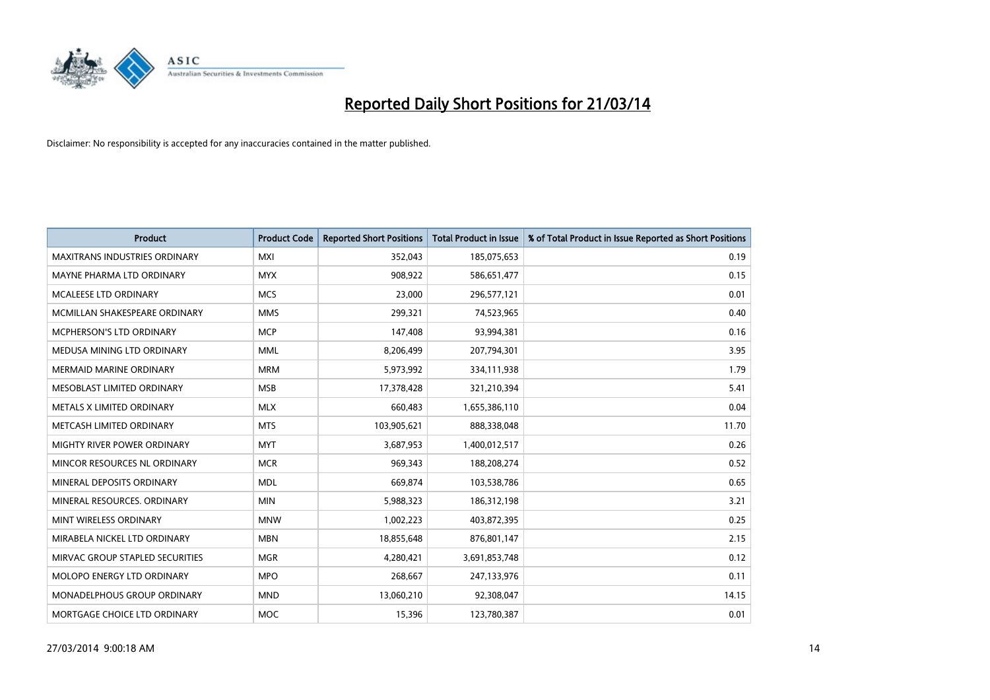

| <b>Product</b>                       | <b>Product Code</b> | <b>Reported Short Positions</b> | <b>Total Product in Issue</b> | % of Total Product in Issue Reported as Short Positions |
|--------------------------------------|---------------------|---------------------------------|-------------------------------|---------------------------------------------------------|
| <b>MAXITRANS INDUSTRIES ORDINARY</b> | <b>MXI</b>          | 352,043                         | 185,075,653                   | 0.19                                                    |
| MAYNE PHARMA LTD ORDINARY            | <b>MYX</b>          | 908,922                         | 586,651,477                   | 0.15                                                    |
| MCALEESE LTD ORDINARY                | <b>MCS</b>          | 23,000                          | 296,577,121                   | 0.01                                                    |
| MCMILLAN SHAKESPEARE ORDINARY        | <b>MMS</b>          | 299,321                         | 74,523,965                    | 0.40                                                    |
| MCPHERSON'S LTD ORDINARY             | <b>MCP</b>          | 147,408                         | 93,994,381                    | 0.16                                                    |
| MEDUSA MINING LTD ORDINARY           | <b>MML</b>          | 8,206,499                       | 207,794,301                   | 3.95                                                    |
| <b>MERMAID MARINE ORDINARY</b>       | <b>MRM</b>          | 5,973,992                       | 334,111,938                   | 1.79                                                    |
| MESOBLAST LIMITED ORDINARY           | <b>MSB</b>          | 17,378,428                      | 321,210,394                   | 5.41                                                    |
| METALS X LIMITED ORDINARY            | <b>MLX</b>          | 660,483                         | 1,655,386,110                 | 0.04                                                    |
| METCASH LIMITED ORDINARY             | <b>MTS</b>          | 103,905,621                     | 888,338,048                   | 11.70                                                   |
| MIGHTY RIVER POWER ORDINARY          | <b>MYT</b>          | 3,687,953                       | 1,400,012,517                 | 0.26                                                    |
| MINCOR RESOURCES NL ORDINARY         | <b>MCR</b>          | 969,343                         | 188,208,274                   | 0.52                                                    |
| MINERAL DEPOSITS ORDINARY            | <b>MDL</b>          | 669,874                         | 103,538,786                   | 0.65                                                    |
| MINERAL RESOURCES, ORDINARY          | <b>MIN</b>          | 5,988,323                       | 186,312,198                   | 3.21                                                    |
| MINT WIRELESS ORDINARY               | <b>MNW</b>          | 1,002,223                       | 403,872,395                   | 0.25                                                    |
| MIRABELA NICKEL LTD ORDINARY         | <b>MBN</b>          | 18,855,648                      | 876,801,147                   | 2.15                                                    |
| MIRVAC GROUP STAPLED SECURITIES      | <b>MGR</b>          | 4,280,421                       | 3,691,853,748                 | 0.12                                                    |
| <b>MOLOPO ENERGY LTD ORDINARY</b>    | <b>MPO</b>          | 268,667                         | 247,133,976                   | 0.11                                                    |
| <b>MONADELPHOUS GROUP ORDINARY</b>   | <b>MND</b>          | 13,060,210                      | 92,308,047                    | 14.15                                                   |
| MORTGAGE CHOICE LTD ORDINARY         | <b>MOC</b>          | 15,396                          | 123,780,387                   | 0.01                                                    |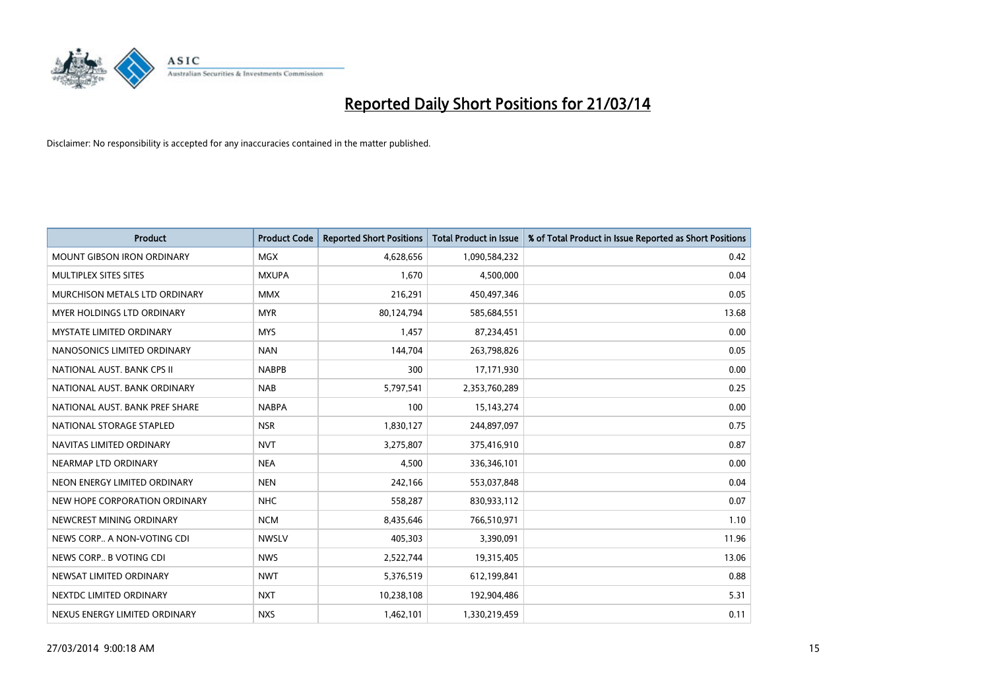

| <b>Product</b>                    | <b>Product Code</b> | <b>Reported Short Positions</b> | <b>Total Product in Issue</b> | % of Total Product in Issue Reported as Short Positions |
|-----------------------------------|---------------------|---------------------------------|-------------------------------|---------------------------------------------------------|
| <b>MOUNT GIBSON IRON ORDINARY</b> | <b>MGX</b>          | 4,628,656                       | 1,090,584,232                 | 0.42                                                    |
| MULTIPLEX SITES SITES             | <b>MXUPA</b>        | 1,670                           | 4,500,000                     | 0.04                                                    |
| MURCHISON METALS LTD ORDINARY     | <b>MMX</b>          | 216,291                         | 450,497,346                   | 0.05                                                    |
| MYER HOLDINGS LTD ORDINARY        | <b>MYR</b>          | 80,124,794                      | 585,684,551                   | 13.68                                                   |
| <b>MYSTATE LIMITED ORDINARY</b>   | <b>MYS</b>          | 1,457                           | 87,234,451                    | 0.00                                                    |
| NANOSONICS LIMITED ORDINARY       | <b>NAN</b>          | 144,704                         | 263,798,826                   | 0.05                                                    |
| NATIONAL AUST. BANK CPS II        | <b>NABPB</b>        | 300                             | 17,171,930                    | 0.00                                                    |
| NATIONAL AUST. BANK ORDINARY      | <b>NAB</b>          | 5,797,541                       | 2,353,760,289                 | 0.25                                                    |
| NATIONAL AUST. BANK PREF SHARE    | <b>NABPA</b>        | 100                             | 15,143,274                    | 0.00                                                    |
| NATIONAL STORAGE STAPLED          | <b>NSR</b>          | 1,830,127                       | 244,897,097                   | 0.75                                                    |
| NAVITAS LIMITED ORDINARY          | <b>NVT</b>          | 3,275,807                       | 375,416,910                   | 0.87                                                    |
| NEARMAP LTD ORDINARY              | <b>NEA</b>          | 4,500                           | 336,346,101                   | 0.00                                                    |
| NEON ENERGY LIMITED ORDINARY      | <b>NEN</b>          | 242,166                         | 553,037,848                   | 0.04                                                    |
| NEW HOPE CORPORATION ORDINARY     | <b>NHC</b>          | 558,287                         | 830,933,112                   | 0.07                                                    |
| NEWCREST MINING ORDINARY          | <b>NCM</b>          | 8,435,646                       | 766,510,971                   | 1.10                                                    |
| NEWS CORP A NON-VOTING CDI        | <b>NWSLV</b>        | 405,303                         | 3,390,091                     | 11.96                                                   |
| NEWS CORP B VOTING CDI            | <b>NWS</b>          | 2,522,744                       | 19,315,405                    | 13.06                                                   |
| NEWSAT LIMITED ORDINARY           | <b>NWT</b>          | 5,376,519                       | 612,199,841                   | 0.88                                                    |
| NEXTDC LIMITED ORDINARY           | <b>NXT</b>          | 10,238,108                      | 192,904,486                   | 5.31                                                    |
| NEXUS ENERGY LIMITED ORDINARY     | <b>NXS</b>          | 1,462,101                       | 1,330,219,459                 | 0.11                                                    |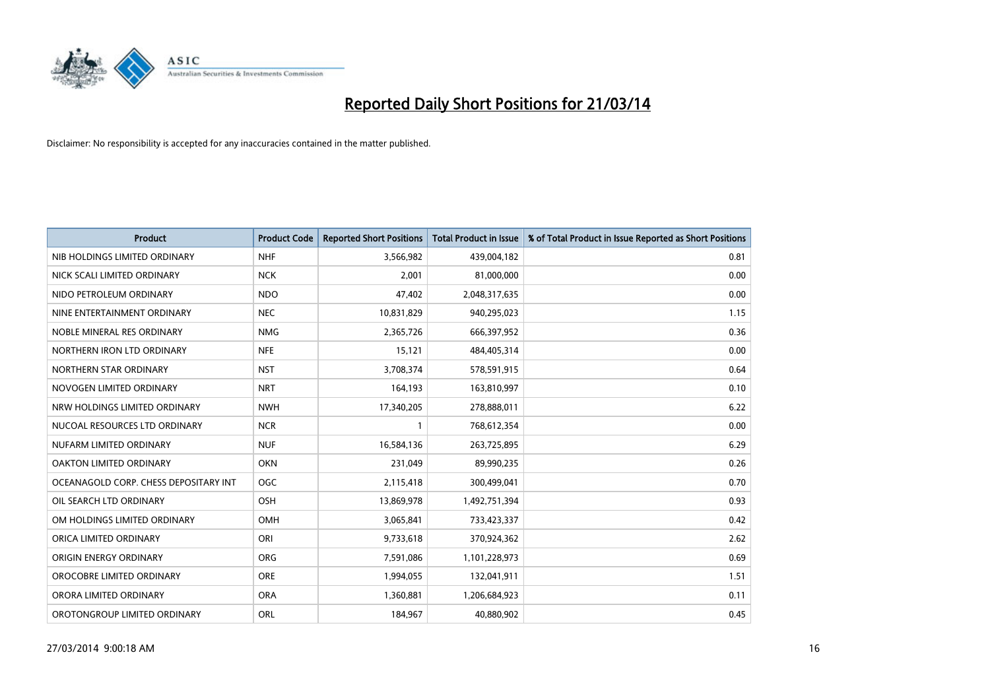

| <b>Product</b>                        | <b>Product Code</b> | <b>Reported Short Positions</b> | <b>Total Product in Issue</b> | % of Total Product in Issue Reported as Short Positions |
|---------------------------------------|---------------------|---------------------------------|-------------------------------|---------------------------------------------------------|
| NIB HOLDINGS LIMITED ORDINARY         | <b>NHF</b>          | 3,566,982                       | 439,004,182                   | 0.81                                                    |
| NICK SCALI LIMITED ORDINARY           | <b>NCK</b>          | 2,001                           | 81,000,000                    | 0.00                                                    |
| NIDO PETROLEUM ORDINARY               | <b>NDO</b>          | 47,402                          | 2,048,317,635                 | 0.00                                                    |
| NINE ENTERTAINMENT ORDINARY           | <b>NEC</b>          | 10,831,829                      | 940,295,023                   | 1.15                                                    |
| NOBLE MINERAL RES ORDINARY            | <b>NMG</b>          | 2,365,726                       | 666,397,952                   | 0.36                                                    |
| NORTHERN IRON LTD ORDINARY            | <b>NFE</b>          | 15,121                          | 484,405,314                   | 0.00                                                    |
| NORTHERN STAR ORDINARY                | <b>NST</b>          | 3,708,374                       | 578,591,915                   | 0.64                                                    |
| NOVOGEN LIMITED ORDINARY              | <b>NRT</b>          | 164,193                         | 163,810,997                   | 0.10                                                    |
| NRW HOLDINGS LIMITED ORDINARY         | <b>NWH</b>          | 17,340,205                      | 278,888,011                   | 6.22                                                    |
| NUCOAL RESOURCES LTD ORDINARY         | <b>NCR</b>          |                                 | 768,612,354                   | 0.00                                                    |
| NUFARM LIMITED ORDINARY               | <b>NUF</b>          | 16,584,136                      | 263,725,895                   | 6.29                                                    |
| OAKTON LIMITED ORDINARY               | <b>OKN</b>          | 231,049                         | 89,990,235                    | 0.26                                                    |
| OCEANAGOLD CORP. CHESS DEPOSITARY INT | <b>OGC</b>          | 2,115,418                       | 300,499,041                   | 0.70                                                    |
| OIL SEARCH LTD ORDINARY               | OSH                 | 13,869,978                      | 1,492,751,394                 | 0.93                                                    |
| OM HOLDINGS LIMITED ORDINARY          | OMH                 | 3,065,841                       | 733,423,337                   | 0.42                                                    |
| ORICA LIMITED ORDINARY                | ORI                 | 9,733,618                       | 370,924,362                   | 2.62                                                    |
| ORIGIN ENERGY ORDINARY                | ORG                 | 7,591,086                       | 1,101,228,973                 | 0.69                                                    |
| OROCOBRE LIMITED ORDINARY             | <b>ORE</b>          | 1,994,055                       | 132,041,911                   | 1.51                                                    |
| ORORA LIMITED ORDINARY                | <b>ORA</b>          | 1,360,881                       | 1,206,684,923                 | 0.11                                                    |
| OROTONGROUP LIMITED ORDINARY          | ORL                 | 184,967                         | 40,880,902                    | 0.45                                                    |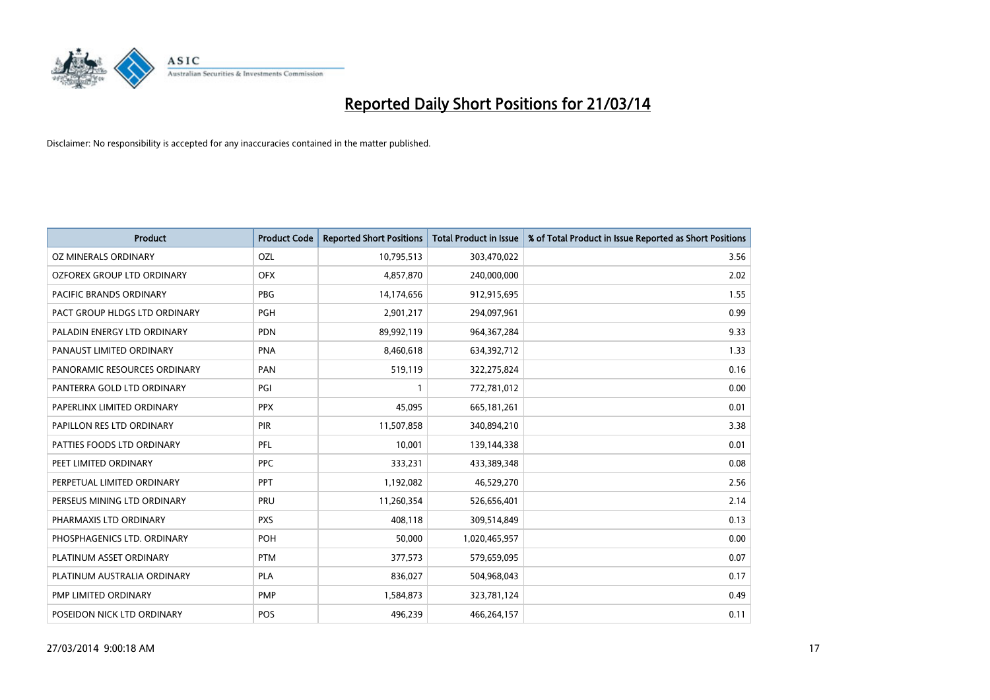

| <b>Product</b>                | <b>Product Code</b> | <b>Reported Short Positions</b> | <b>Total Product in Issue</b> | % of Total Product in Issue Reported as Short Positions |
|-------------------------------|---------------------|---------------------------------|-------------------------------|---------------------------------------------------------|
| OZ MINERALS ORDINARY          | OZL                 | 10,795,513                      | 303,470,022                   | 3.56                                                    |
| OZFOREX GROUP LTD ORDINARY    | <b>OFX</b>          | 4,857,870                       | 240,000,000                   | 2.02                                                    |
| PACIFIC BRANDS ORDINARY       | <b>PBG</b>          | 14,174,656                      | 912,915,695                   | 1.55                                                    |
| PACT GROUP HLDGS LTD ORDINARY | <b>PGH</b>          | 2,901,217                       | 294,097,961                   | 0.99                                                    |
| PALADIN ENERGY LTD ORDINARY   | <b>PDN</b>          | 89,992,119                      | 964, 367, 284                 | 9.33                                                    |
| PANAUST LIMITED ORDINARY      | <b>PNA</b>          | 8,460,618                       | 634,392,712                   | 1.33                                                    |
| PANORAMIC RESOURCES ORDINARY  | PAN                 | 519,119                         | 322,275,824                   | 0.16                                                    |
| PANTERRA GOLD LTD ORDINARY    | PGI                 |                                 | 772,781,012                   | 0.00                                                    |
| PAPERLINX LIMITED ORDINARY    | <b>PPX</b>          | 45,095                          | 665,181,261                   | 0.01                                                    |
| PAPILLON RES LTD ORDINARY     | <b>PIR</b>          | 11,507,858                      | 340,894,210                   | 3.38                                                    |
| PATTIES FOODS LTD ORDINARY    | PFL                 | 10,001                          | 139,144,338                   | 0.01                                                    |
| PEET LIMITED ORDINARY         | <b>PPC</b>          | 333,231                         | 433,389,348                   | 0.08                                                    |
| PERPETUAL LIMITED ORDINARY    | <b>PPT</b>          | 1,192,082                       | 46,529,270                    | 2.56                                                    |
| PERSEUS MINING LTD ORDINARY   | PRU                 | 11,260,354                      | 526,656,401                   | 2.14                                                    |
| PHARMAXIS LTD ORDINARY        | <b>PXS</b>          | 408,118                         | 309,514,849                   | 0.13                                                    |
| PHOSPHAGENICS LTD. ORDINARY   | POH                 | 50,000                          | 1,020,465,957                 | 0.00                                                    |
| PLATINUM ASSET ORDINARY       | <b>PTM</b>          | 377,573                         | 579,659,095                   | 0.07                                                    |
| PLATINUM AUSTRALIA ORDINARY   | <b>PLA</b>          | 836,027                         | 504,968,043                   | 0.17                                                    |
| PMP LIMITED ORDINARY          | <b>PMP</b>          | 1,584,873                       | 323,781,124                   | 0.49                                                    |
| POSEIDON NICK LTD ORDINARY    | POS                 | 496,239                         | 466,264,157                   | 0.11                                                    |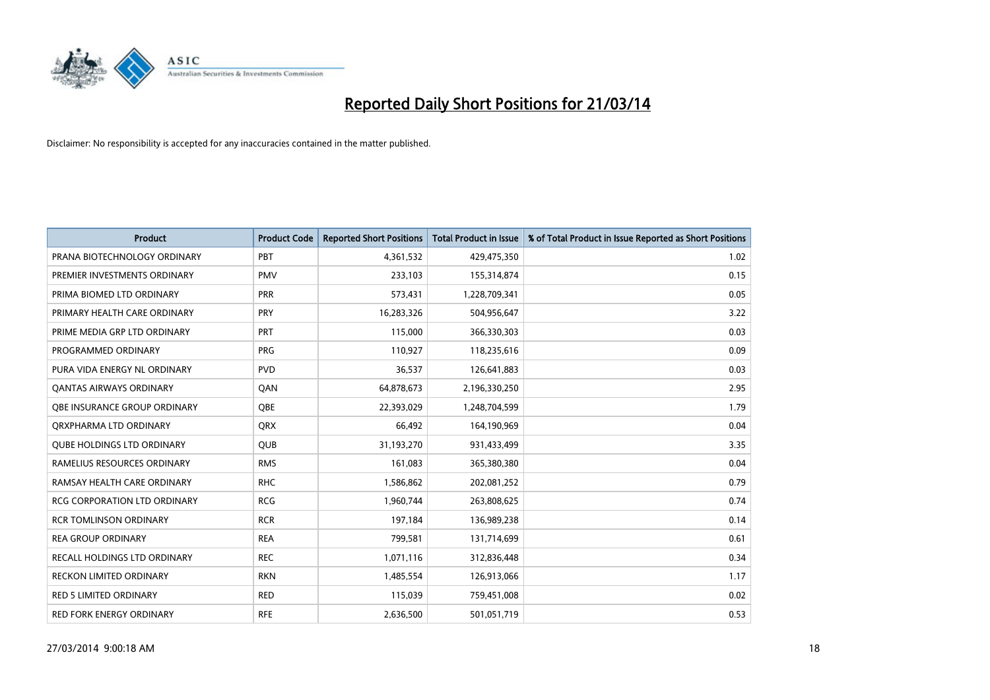

| <b>Product</b>                      | <b>Product Code</b> | <b>Reported Short Positions</b> | <b>Total Product in Issue</b> | % of Total Product in Issue Reported as Short Positions |
|-------------------------------------|---------------------|---------------------------------|-------------------------------|---------------------------------------------------------|
| PRANA BIOTECHNOLOGY ORDINARY        | PBT                 | 4,361,532                       | 429,475,350                   | 1.02                                                    |
| PREMIER INVESTMENTS ORDINARY        | <b>PMV</b>          | 233,103                         | 155,314,874                   | 0.15                                                    |
| PRIMA BIOMED LTD ORDINARY           | PRR                 | 573,431                         | 1,228,709,341                 | 0.05                                                    |
| PRIMARY HEALTH CARE ORDINARY        | <b>PRY</b>          | 16,283,326                      | 504,956,647                   | 3.22                                                    |
| PRIME MEDIA GRP LTD ORDINARY        | <b>PRT</b>          | 115,000                         | 366,330,303                   | 0.03                                                    |
| PROGRAMMED ORDINARY                 | <b>PRG</b>          | 110,927                         | 118,235,616                   | 0.09                                                    |
| PURA VIDA ENERGY NL ORDINARY        | <b>PVD</b>          | 36,537                          | 126,641,883                   | 0.03                                                    |
| <b>QANTAS AIRWAYS ORDINARY</b>      | QAN                 | 64,878,673                      | 2,196,330,250                 | 2.95                                                    |
| <b>OBE INSURANCE GROUP ORDINARY</b> | <b>OBE</b>          | 22,393,029                      | 1,248,704,599                 | 1.79                                                    |
| ORXPHARMA LTD ORDINARY              | <b>QRX</b>          | 66,492                          | 164,190,969                   | 0.04                                                    |
| <b>QUBE HOLDINGS LTD ORDINARY</b>   | <b>QUB</b>          | 31,193,270                      | 931,433,499                   | 3.35                                                    |
| RAMELIUS RESOURCES ORDINARY         | <b>RMS</b>          | 161,083                         | 365,380,380                   | 0.04                                                    |
| RAMSAY HEALTH CARE ORDINARY         | <b>RHC</b>          | 1,586,862                       | 202,081,252                   | 0.79                                                    |
| <b>RCG CORPORATION LTD ORDINARY</b> | <b>RCG</b>          | 1,960,744                       | 263,808,625                   | 0.74                                                    |
| <b>RCR TOMLINSON ORDINARY</b>       | <b>RCR</b>          | 197,184                         | 136,989,238                   | 0.14                                                    |
| <b>REA GROUP ORDINARY</b>           | <b>REA</b>          | 799,581                         | 131,714,699                   | 0.61                                                    |
| RECALL HOLDINGS LTD ORDINARY        | <b>REC</b>          | 1,071,116                       | 312,836,448                   | 0.34                                                    |
| RECKON LIMITED ORDINARY             | <b>RKN</b>          | 1,485,554                       | 126,913,066                   | 1.17                                                    |
| <b>RED 5 LIMITED ORDINARY</b>       | <b>RED</b>          | 115,039                         | 759,451,008                   | 0.02                                                    |
| RED FORK ENERGY ORDINARY            | <b>RFE</b>          | 2,636,500                       | 501,051,719                   | 0.53                                                    |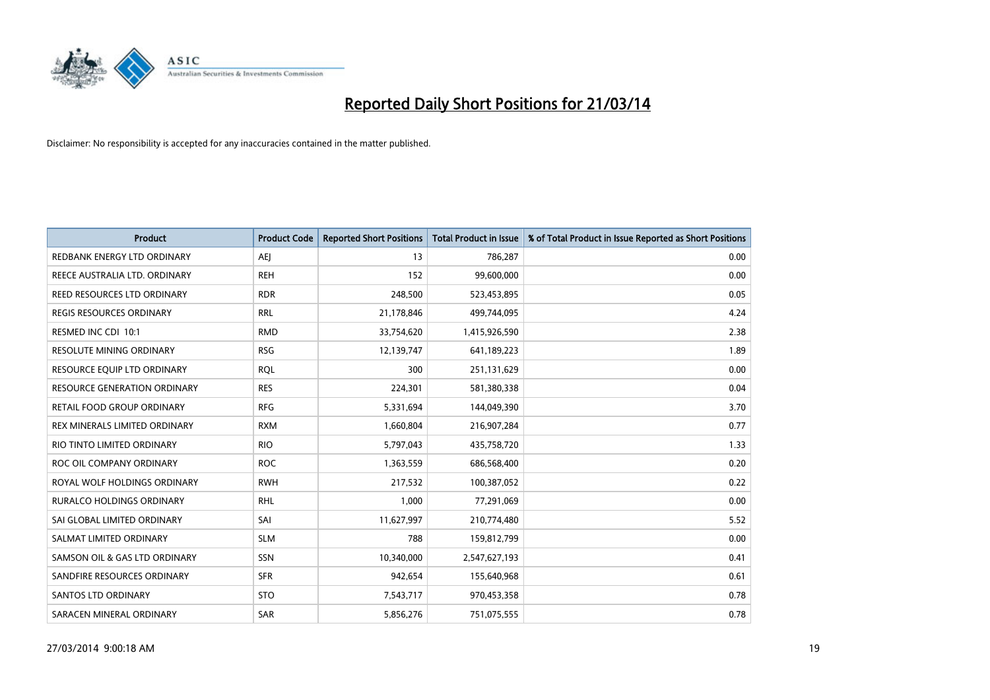

| <b>Product</b>                      | <b>Product Code</b> | <b>Reported Short Positions</b> | <b>Total Product in Issue</b> | % of Total Product in Issue Reported as Short Positions |
|-------------------------------------|---------------------|---------------------------------|-------------------------------|---------------------------------------------------------|
| REDBANK ENERGY LTD ORDINARY         | AEI                 | 13                              | 786,287                       | 0.00                                                    |
| REECE AUSTRALIA LTD. ORDINARY       | <b>REH</b>          | 152                             | 99,600,000                    | 0.00                                                    |
| REED RESOURCES LTD ORDINARY         | <b>RDR</b>          | 248,500                         | 523,453,895                   | 0.05                                                    |
| <b>REGIS RESOURCES ORDINARY</b>     | <b>RRL</b>          | 21,178,846                      | 499,744,095                   | 4.24                                                    |
| RESMED INC CDI 10:1                 | <b>RMD</b>          | 33,754,620                      | 1,415,926,590                 | 2.38                                                    |
| RESOLUTE MINING ORDINARY            | <b>RSG</b>          | 12,139,747                      | 641,189,223                   | 1.89                                                    |
| RESOURCE EQUIP LTD ORDINARY         | <b>RQL</b>          | 300                             | 251,131,629                   | 0.00                                                    |
| <b>RESOURCE GENERATION ORDINARY</b> | <b>RES</b>          | 224,301                         | 581,380,338                   | 0.04                                                    |
| RETAIL FOOD GROUP ORDINARY          | <b>RFG</b>          | 5,331,694                       | 144,049,390                   | 3.70                                                    |
| REX MINERALS LIMITED ORDINARY       | <b>RXM</b>          | 1,660,804                       | 216,907,284                   | 0.77                                                    |
| RIO TINTO LIMITED ORDINARY          | <b>RIO</b>          | 5,797,043                       | 435,758,720                   | 1.33                                                    |
| ROC OIL COMPANY ORDINARY            | <b>ROC</b>          | 1,363,559                       | 686,568,400                   | 0.20                                                    |
| ROYAL WOLF HOLDINGS ORDINARY        | <b>RWH</b>          | 217,532                         | 100,387,052                   | 0.22                                                    |
| <b>RURALCO HOLDINGS ORDINARY</b>    | <b>RHL</b>          | 1,000                           | 77,291,069                    | 0.00                                                    |
| SAI GLOBAL LIMITED ORDINARY         | SAI                 | 11,627,997                      | 210,774,480                   | 5.52                                                    |
| SALMAT LIMITED ORDINARY             | <b>SLM</b>          | 788                             | 159,812,799                   | 0.00                                                    |
| SAMSON OIL & GAS LTD ORDINARY       | SSN                 | 10,340,000                      | 2,547,627,193                 | 0.41                                                    |
| SANDFIRE RESOURCES ORDINARY         | <b>SFR</b>          | 942,654                         | 155,640,968                   | 0.61                                                    |
| SANTOS LTD ORDINARY                 | <b>STO</b>          | 7,543,717                       | 970,453,358                   | 0.78                                                    |
| SARACEN MINERAL ORDINARY            | <b>SAR</b>          | 5,856,276                       | 751,075,555                   | 0.78                                                    |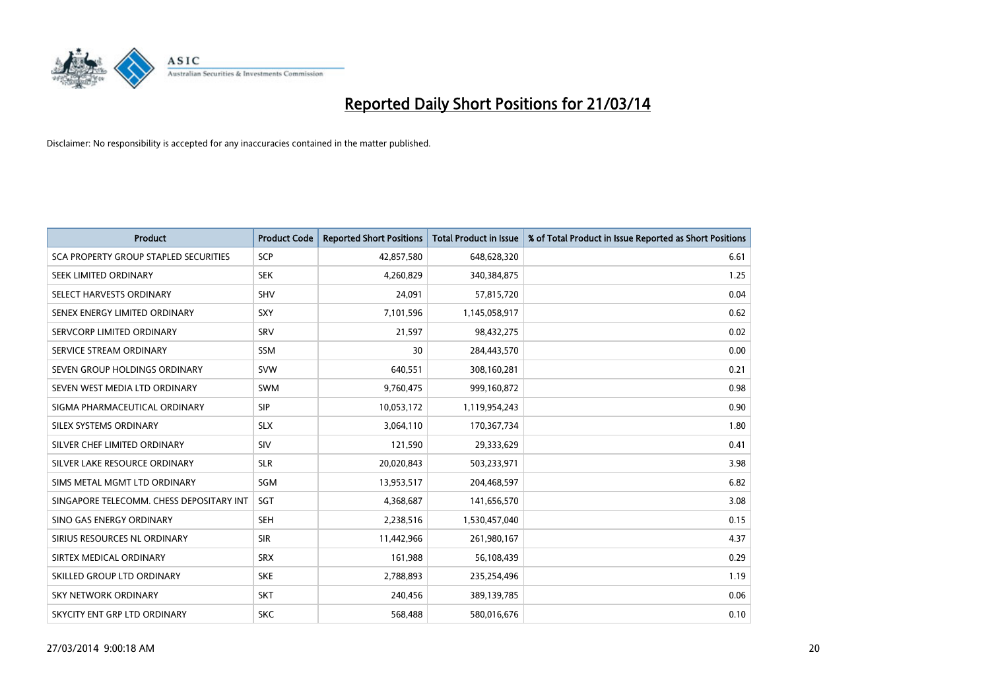

| <b>Product</b>                               | <b>Product Code</b> | <b>Reported Short Positions</b> | <b>Total Product in Issue</b> | % of Total Product in Issue Reported as Short Positions |
|----------------------------------------------|---------------------|---------------------------------|-------------------------------|---------------------------------------------------------|
| <b>SCA PROPERTY GROUP STAPLED SECURITIES</b> | <b>SCP</b>          | 42,857,580                      | 648,628,320                   | 6.61                                                    |
| SEEK LIMITED ORDINARY                        | <b>SEK</b>          | 4,260,829                       | 340,384,875                   | 1.25                                                    |
| SELECT HARVESTS ORDINARY                     | <b>SHV</b>          | 24,091                          | 57,815,720                    | 0.04                                                    |
| SENEX ENERGY LIMITED ORDINARY                | <b>SXY</b>          | 7,101,596                       | 1,145,058,917                 | 0.62                                                    |
| SERVCORP LIMITED ORDINARY                    | SRV                 | 21,597                          | 98,432,275                    | 0.02                                                    |
| SERVICE STREAM ORDINARY                      | <b>SSM</b>          | 30                              | 284,443,570                   | 0.00                                                    |
| SEVEN GROUP HOLDINGS ORDINARY                | <b>SVW</b>          | 640,551                         | 308,160,281                   | 0.21                                                    |
| SEVEN WEST MEDIA LTD ORDINARY                | <b>SWM</b>          | 9,760,475                       | 999,160,872                   | 0.98                                                    |
| SIGMA PHARMACEUTICAL ORDINARY                | <b>SIP</b>          | 10,053,172                      | 1,119,954,243                 | 0.90                                                    |
| SILEX SYSTEMS ORDINARY                       | <b>SLX</b>          | 3,064,110                       | 170,367,734                   | 1.80                                                    |
| SILVER CHEF LIMITED ORDINARY                 | SIV                 | 121,590                         | 29,333,629                    | 0.41                                                    |
| SILVER LAKE RESOURCE ORDINARY                | <b>SLR</b>          | 20,020,843                      | 503,233,971                   | 3.98                                                    |
| SIMS METAL MGMT LTD ORDINARY                 | SGM                 | 13,953,517                      | 204,468,597                   | 6.82                                                    |
| SINGAPORE TELECOMM. CHESS DEPOSITARY INT     | <b>SGT</b>          | 4,368,687                       | 141,656,570                   | 3.08                                                    |
| SINO GAS ENERGY ORDINARY                     | <b>SEH</b>          | 2,238,516                       | 1,530,457,040                 | 0.15                                                    |
| SIRIUS RESOURCES NL ORDINARY                 | <b>SIR</b>          | 11,442,966                      | 261,980,167                   | 4.37                                                    |
| SIRTEX MEDICAL ORDINARY                      | <b>SRX</b>          | 161,988                         | 56,108,439                    | 0.29                                                    |
| SKILLED GROUP LTD ORDINARY                   | <b>SKE</b>          | 2,788,893                       | 235,254,496                   | 1.19                                                    |
| <b>SKY NETWORK ORDINARY</b>                  | <b>SKT</b>          | 240,456                         | 389,139,785                   | 0.06                                                    |
| SKYCITY ENT GRP LTD ORDINARY                 | <b>SKC</b>          | 568,488                         | 580,016,676                   | 0.10                                                    |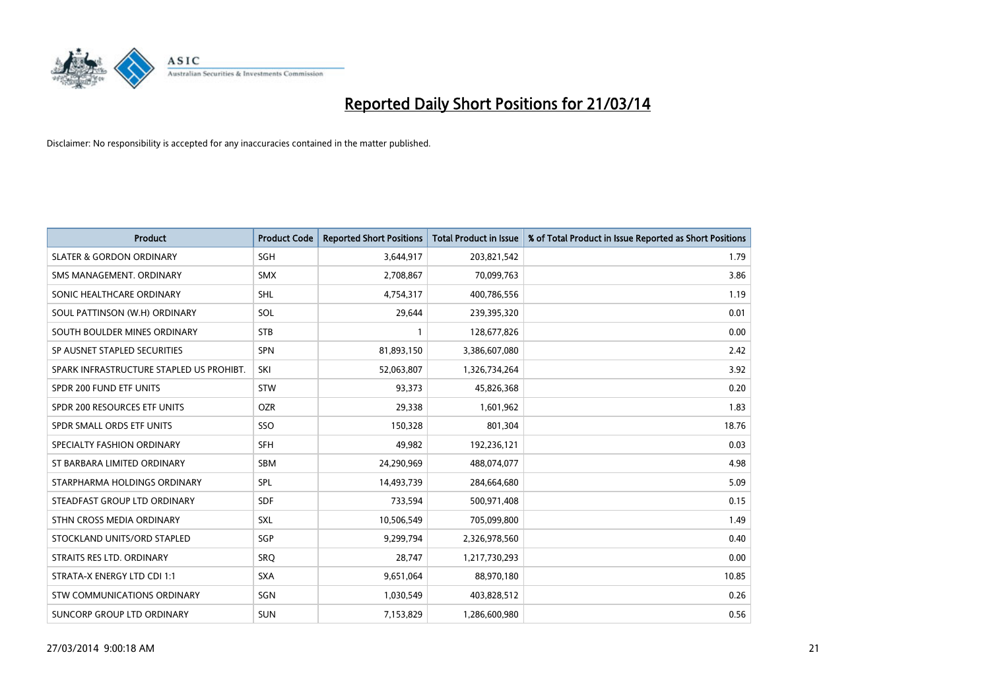

| <b>Product</b>                           | <b>Product Code</b> | <b>Reported Short Positions</b> | <b>Total Product in Issue</b> | % of Total Product in Issue Reported as Short Positions |
|------------------------------------------|---------------------|---------------------------------|-------------------------------|---------------------------------------------------------|
| <b>SLATER &amp; GORDON ORDINARY</b>      | <b>SGH</b>          | 3,644,917                       | 203,821,542                   | 1.79                                                    |
| SMS MANAGEMENT. ORDINARY                 | <b>SMX</b>          | 2,708,867                       | 70,099,763                    | 3.86                                                    |
| SONIC HEALTHCARE ORDINARY                | <b>SHL</b>          | 4,754,317                       | 400,786,556                   | 1.19                                                    |
| SOUL PATTINSON (W.H) ORDINARY            | SOL                 | 29,644                          | 239,395,320                   | 0.01                                                    |
| SOUTH BOULDER MINES ORDINARY             | <b>STB</b>          |                                 | 128,677,826                   | 0.00                                                    |
| SP AUSNET STAPLED SECURITIES             | <b>SPN</b>          | 81,893,150                      | 3,386,607,080                 | 2.42                                                    |
| SPARK INFRASTRUCTURE STAPLED US PROHIBT. | SKI                 | 52,063,807                      | 1,326,734,264                 | 3.92                                                    |
| SPDR 200 FUND ETF UNITS                  | <b>STW</b>          | 93,373                          | 45,826,368                    | 0.20                                                    |
| SPDR 200 RESOURCES ETF UNITS             | <b>OZR</b>          | 29,338                          | 1,601,962                     | 1.83                                                    |
| SPDR SMALL ORDS ETF UNITS                | SSO                 | 150,328                         | 801,304                       | 18.76                                                   |
| SPECIALTY FASHION ORDINARY               | <b>SFH</b>          | 49,982                          | 192,236,121                   | 0.03                                                    |
| ST BARBARA LIMITED ORDINARY              | <b>SBM</b>          | 24,290,969                      | 488,074,077                   | 4.98                                                    |
| STARPHARMA HOLDINGS ORDINARY             | SPL                 | 14,493,739                      | 284,664,680                   | 5.09                                                    |
| STEADFAST GROUP LTD ORDINARY             | <b>SDF</b>          | 733,594                         | 500,971,408                   | 0.15                                                    |
| STHN CROSS MEDIA ORDINARY                | <b>SXL</b>          | 10,506,549                      | 705,099,800                   | 1.49                                                    |
| STOCKLAND UNITS/ORD STAPLED              | SGP                 | 9,299,794                       | 2,326,978,560                 | 0.40                                                    |
| STRAITS RES LTD. ORDINARY                | SRO                 | 28,747                          | 1,217,730,293                 | 0.00                                                    |
| STRATA-X ENERGY LTD CDI 1:1              | <b>SXA</b>          | 9,651,064                       | 88,970,180                    | 10.85                                                   |
| STW COMMUNICATIONS ORDINARY              | SGN                 | 1,030,549                       | 403,828,512                   | 0.26                                                    |
| SUNCORP GROUP LTD ORDINARY               | <b>SUN</b>          | 7,153,829                       | 1,286,600,980                 | 0.56                                                    |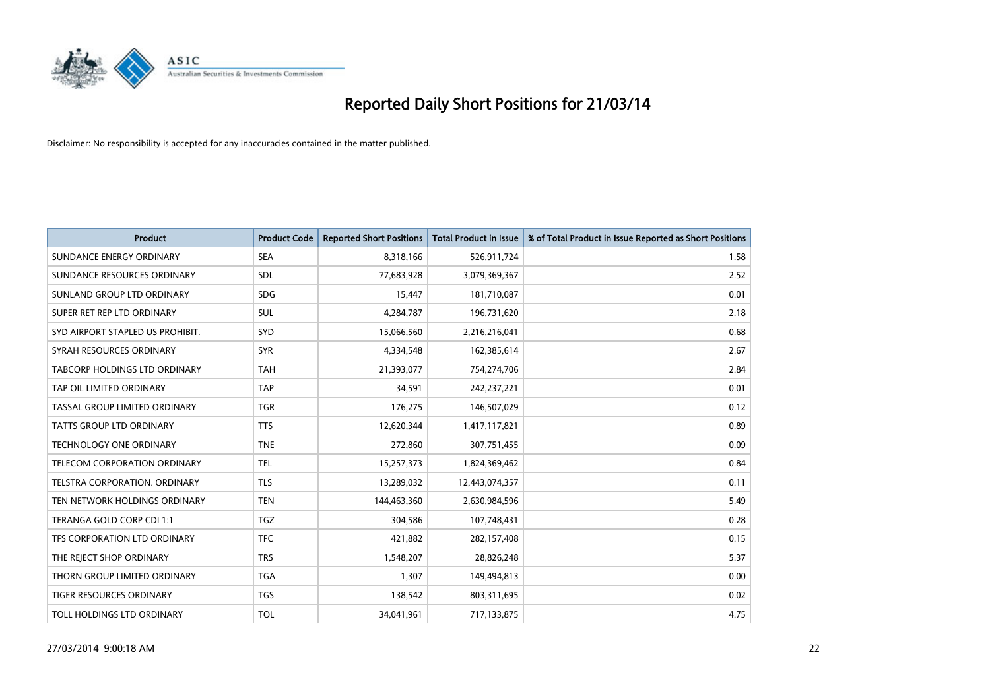

| <b>Product</b>                       | <b>Product Code</b> | <b>Reported Short Positions</b> | <b>Total Product in Issue</b> | % of Total Product in Issue Reported as Short Positions |
|--------------------------------------|---------------------|---------------------------------|-------------------------------|---------------------------------------------------------|
| SUNDANCE ENERGY ORDINARY             | <b>SEA</b>          | 8,318,166                       | 526,911,724                   | 1.58                                                    |
| SUNDANCE RESOURCES ORDINARY          | <b>SDL</b>          | 77,683,928                      | 3,079,369,367                 | 2.52                                                    |
| SUNLAND GROUP LTD ORDINARY           | <b>SDG</b>          | 15,447                          | 181,710,087                   | 0.01                                                    |
| SUPER RET REP LTD ORDINARY           | <b>SUL</b>          | 4,284,787                       | 196,731,620                   | 2.18                                                    |
| SYD AIRPORT STAPLED US PROHIBIT.     | <b>SYD</b>          | 15,066,560                      | 2,216,216,041                 | 0.68                                                    |
| SYRAH RESOURCES ORDINARY             | <b>SYR</b>          | 4,334,548                       | 162,385,614                   | 2.67                                                    |
| <b>TABCORP HOLDINGS LTD ORDINARY</b> | <b>TAH</b>          | 21,393,077                      | 754,274,706                   | 2.84                                                    |
| TAP OIL LIMITED ORDINARY             | <b>TAP</b>          | 34,591                          | 242,237,221                   | 0.01                                                    |
| TASSAL GROUP LIMITED ORDINARY        | <b>TGR</b>          | 176,275                         | 146,507,029                   | 0.12                                                    |
| <b>TATTS GROUP LTD ORDINARY</b>      | <b>TTS</b>          | 12,620,344                      | 1,417,117,821                 | 0.89                                                    |
| <b>TECHNOLOGY ONE ORDINARY</b>       | <b>TNE</b>          | 272,860                         | 307,751,455                   | 0.09                                                    |
| TELECOM CORPORATION ORDINARY         | <b>TEL</b>          | 15,257,373                      | 1,824,369,462                 | 0.84                                                    |
| <b>TELSTRA CORPORATION, ORDINARY</b> | <b>TLS</b>          | 13,289,032                      | 12,443,074,357                | 0.11                                                    |
| TEN NETWORK HOLDINGS ORDINARY        | <b>TEN</b>          | 144,463,360                     | 2,630,984,596                 | 5.49                                                    |
| TERANGA GOLD CORP CDI 1:1            | <b>TGZ</b>          | 304,586                         | 107,748,431                   | 0.28                                                    |
| TFS CORPORATION LTD ORDINARY         | <b>TFC</b>          | 421,882                         | 282,157,408                   | 0.15                                                    |
| THE REJECT SHOP ORDINARY             | <b>TRS</b>          | 1,548,207                       | 28,826,248                    | 5.37                                                    |
| THORN GROUP LIMITED ORDINARY         | <b>TGA</b>          | 1,307                           | 149,494,813                   | 0.00                                                    |
| TIGER RESOURCES ORDINARY             | <b>TGS</b>          | 138,542                         | 803,311,695                   | 0.02                                                    |
| TOLL HOLDINGS LTD ORDINARY           | <b>TOL</b>          | 34,041,961                      | 717,133,875                   | 4.75                                                    |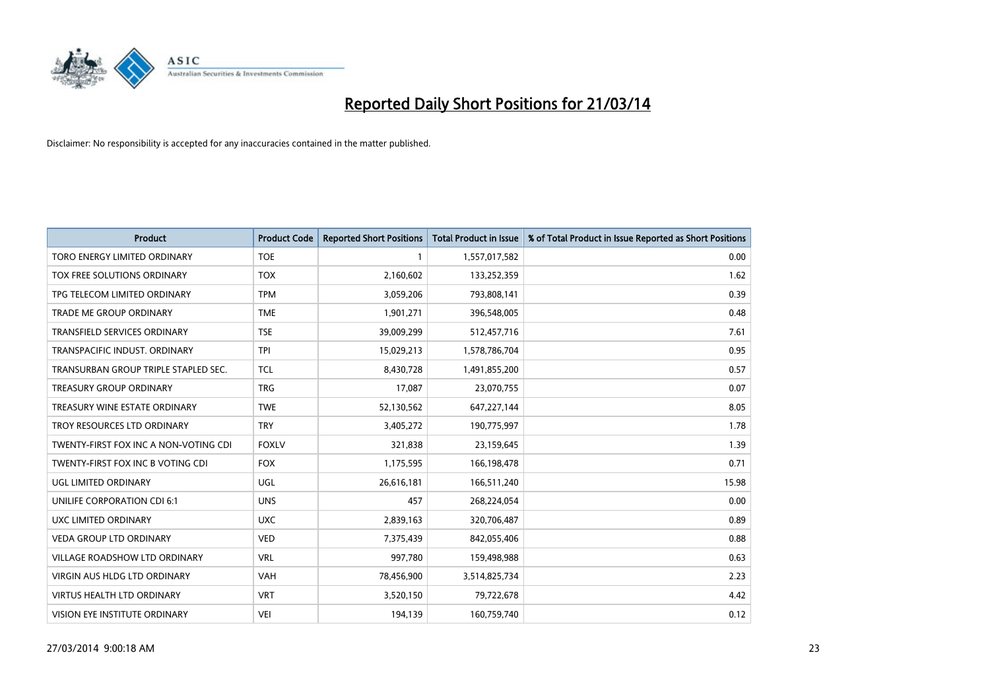

| <b>Product</b>                        | <b>Product Code</b> | <b>Reported Short Positions</b> | Total Product in Issue | % of Total Product in Issue Reported as Short Positions |
|---------------------------------------|---------------------|---------------------------------|------------------------|---------------------------------------------------------|
| TORO ENERGY LIMITED ORDINARY          | <b>TOE</b>          |                                 | 1,557,017,582          | 0.00                                                    |
| TOX FREE SOLUTIONS ORDINARY           | <b>TOX</b>          | 2,160,602                       | 133,252,359            | 1.62                                                    |
| TPG TELECOM LIMITED ORDINARY          | <b>TPM</b>          | 3,059,206                       | 793,808,141            | 0.39                                                    |
| TRADE ME GROUP ORDINARY               | <b>TME</b>          | 1,901,271                       | 396,548,005            | 0.48                                                    |
| <b>TRANSFIELD SERVICES ORDINARY</b>   | <b>TSE</b>          | 39,009,299                      | 512,457,716            | 7.61                                                    |
| TRANSPACIFIC INDUST, ORDINARY         | <b>TPI</b>          | 15,029,213                      | 1,578,786,704          | 0.95                                                    |
| TRANSURBAN GROUP TRIPLE STAPLED SEC.  | <b>TCL</b>          | 8,430,728                       | 1,491,855,200          | 0.57                                                    |
| <b>TREASURY GROUP ORDINARY</b>        | <b>TRG</b>          | 17,087                          | 23,070,755             | 0.07                                                    |
| TREASURY WINE ESTATE ORDINARY         | <b>TWE</b>          | 52,130,562                      | 647,227,144            | 8.05                                                    |
| TROY RESOURCES LTD ORDINARY           | <b>TRY</b>          | 3,405,272                       | 190,775,997            | 1.78                                                    |
| TWENTY-FIRST FOX INC A NON-VOTING CDI | <b>FOXLV</b>        | 321,838                         | 23,159,645             | 1.39                                                    |
| TWENTY-FIRST FOX INC B VOTING CDI     | <b>FOX</b>          | 1,175,595                       | 166,198,478            | 0.71                                                    |
| UGL LIMITED ORDINARY                  | UGL                 | 26,616,181                      | 166,511,240            | 15.98                                                   |
| UNILIFE CORPORATION CDI 6:1           | <b>UNS</b>          | 457                             | 268,224,054            | 0.00                                                    |
| <b>UXC LIMITED ORDINARY</b>           | <b>UXC</b>          | 2,839,163                       | 320,706,487            | 0.89                                                    |
| <b>VEDA GROUP LTD ORDINARY</b>        | <b>VED</b>          | 7,375,439                       | 842,055,406            | 0.88                                                    |
| VILLAGE ROADSHOW LTD ORDINARY         | <b>VRL</b>          | 997,780                         | 159,498,988            | 0.63                                                    |
| VIRGIN AUS HLDG LTD ORDINARY          | <b>VAH</b>          | 78,456,900                      | 3,514,825,734          | 2.23                                                    |
| <b>VIRTUS HEALTH LTD ORDINARY</b>     | <b>VRT</b>          | 3,520,150                       | 79,722,678             | 4.42                                                    |
| VISION EYE INSTITUTE ORDINARY         | VEI                 | 194,139                         | 160,759,740            | 0.12                                                    |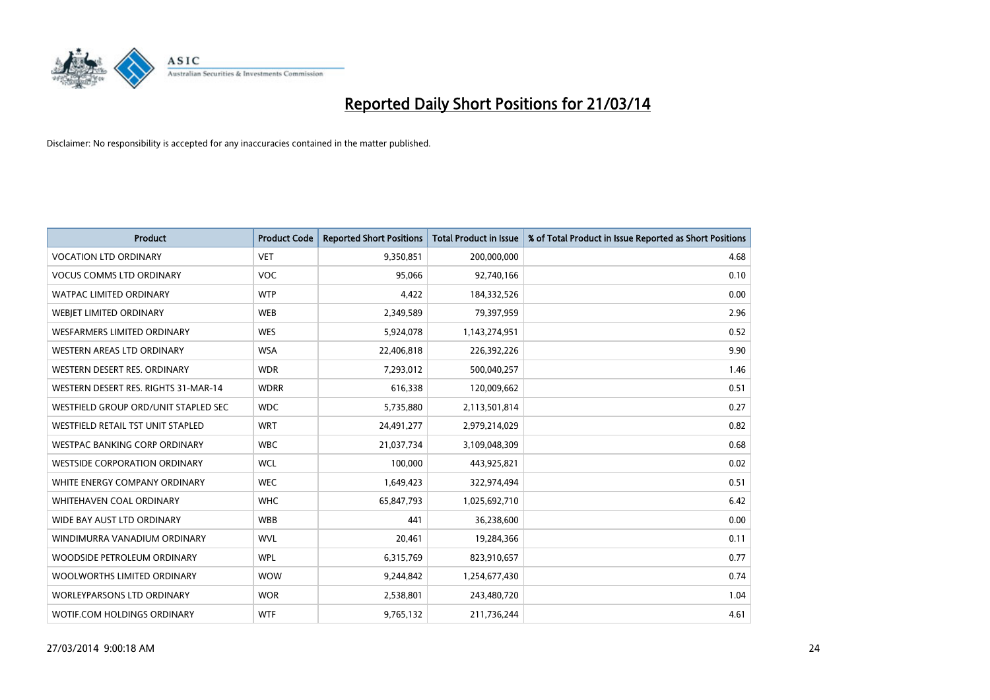

| <b>Product</b>                       | <b>Product Code</b> | <b>Reported Short Positions</b> | <b>Total Product in Issue</b> | % of Total Product in Issue Reported as Short Positions |
|--------------------------------------|---------------------|---------------------------------|-------------------------------|---------------------------------------------------------|
| <b>VOCATION LTD ORDINARY</b>         | <b>VET</b>          | 9,350,851                       | 200,000,000                   | 4.68                                                    |
| <b>VOCUS COMMS LTD ORDINARY</b>      | <b>VOC</b>          | 95,066                          | 92,740,166                    | 0.10                                                    |
| <b>WATPAC LIMITED ORDINARY</b>       | <b>WTP</b>          | 4,422                           | 184,332,526                   | 0.00                                                    |
| WEBJET LIMITED ORDINARY              | <b>WEB</b>          | 2,349,589                       | 79,397,959                    | 2.96                                                    |
| <b>WESFARMERS LIMITED ORDINARY</b>   | <b>WES</b>          | 5,924,078                       | 1,143,274,951                 | 0.52                                                    |
| <b>WESTERN AREAS LTD ORDINARY</b>    | <b>WSA</b>          | 22,406,818                      | 226,392,226                   | 9.90                                                    |
| WESTERN DESERT RES. ORDINARY         | <b>WDR</b>          | 7,293,012                       | 500,040,257                   | 1.46                                                    |
| WESTERN DESERT RES. RIGHTS 31-MAR-14 | <b>WDRR</b>         | 616,338                         | 120,009,662                   | 0.51                                                    |
| WESTFIELD GROUP ORD/UNIT STAPLED SEC | <b>WDC</b>          | 5,735,880                       | 2,113,501,814                 | 0.27                                                    |
| WESTFIELD RETAIL TST UNIT STAPLED    | <b>WRT</b>          | 24,491,277                      | 2,979,214,029                 | 0.82                                                    |
| WESTPAC BANKING CORP ORDINARY        | <b>WBC</b>          | 21,037,734                      | 3,109,048,309                 | 0.68                                                    |
| <b>WESTSIDE CORPORATION ORDINARY</b> | <b>WCL</b>          | 100,000                         | 443,925,821                   | 0.02                                                    |
| WHITE ENERGY COMPANY ORDINARY        | <b>WEC</b>          | 1,649,423                       | 322,974,494                   | 0.51                                                    |
| <b>WHITEHAVEN COAL ORDINARY</b>      | <b>WHC</b>          | 65,847,793                      | 1,025,692,710                 | 6.42                                                    |
| WIDE BAY AUST LTD ORDINARY           | <b>WBB</b>          | 441                             | 36,238,600                    | 0.00                                                    |
| WINDIMURRA VANADIUM ORDINARY         | <b>WVL</b>          | 20,461                          | 19,284,366                    | 0.11                                                    |
| WOODSIDE PETROLEUM ORDINARY          | <b>WPL</b>          | 6,315,769                       | 823,910,657                   | 0.77                                                    |
| WOOLWORTHS LIMITED ORDINARY          | <b>WOW</b>          | 9,244,842                       | 1,254,677,430                 | 0.74                                                    |
| <b>WORLEYPARSONS LTD ORDINARY</b>    | <b>WOR</b>          | 2,538,801                       | 243,480,720                   | 1.04                                                    |
| WOTIF.COM HOLDINGS ORDINARY          | <b>WTF</b>          | 9,765,132                       | 211,736,244                   | 4.61                                                    |